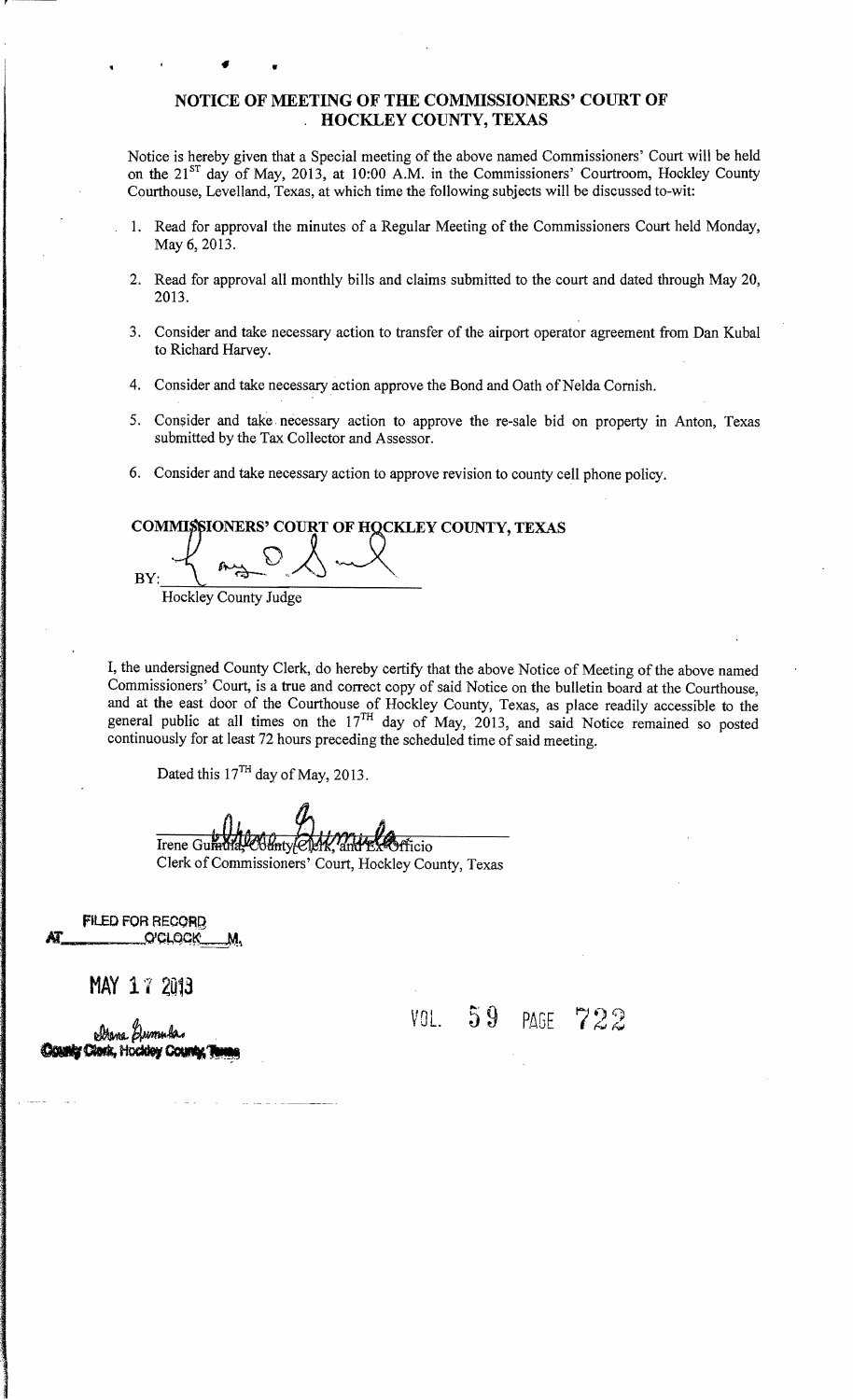#### NOTICE OF MEETING OF THE COMMISSIONERS' COURT OF . HOCKLEY COUNTY, TEXAS

Notice is hereby given that a Special meeting of the above named Commissioners' Court will be held on the  $21<sup>ST</sup>$  day of May, 2013, at 10:00 A.M. in the Commissioners' Courtroom, Hockley County Courthouse, Levelland, Texas, at which time the following subjects will be discussed to-wit:

- 1. Read for approval the minutes of a Regular Meeting of the Commissioners Court held Monday, May 6, 2013.
- 2. Read for approval all monthly bills and claims submitted to the court and dated through May 20, 2013.
- 3. Consider and take necessary action to transfer of the airport operator agreement from Dan Kubal to Richard Harvey.
- 4. Consider and take necessary action approve the Bond and Oath of Nelda Cornish.
- 5. Consider and take necessary action to approve the re-sale bid on property in Anton, Texas submitted by the Tax Collector and Assessor.
- 6. Consider and take necessary action to approve revision to county cell phone policy.

### COMMISSIONERS' COURT OF HOCKLEY COUNTY, TEXAS

 $BY:$ .<br>.<br>.  $\int r^2$  $\sim$   $\sim$   $\sim$   $\sim$ Hockley County Judge

•

I, the undersigned County Clerk, do hereby certify that the above Notice of Meeting of the above named Commissioners' Court, is a true and correct copy of said Notice on the bulletin board at the Courthouse, and at the east door of the Courthouse of Hockley County, Texas, as place readily accessible to the general public at all times on the  $17<sup>TH</sup>$  day of May, 2013, and said Notice remained so posted continuously for at least 72 hours preceding the scheduled time of said meeting.

Dated this  $17<sup>TH</sup>$  day of May, 2013.

Irene Gumm rficio

Clerk of Commissioners' Court, Hockley County, Texas

FILED FOR RECOR~ 1Z\_\_\_\_..O'q.,QG~ M\

**MAY 17 2013** 

 $$\mathcal{V}0L$. 59 PAGE$ 722

**Clark**, Hockley (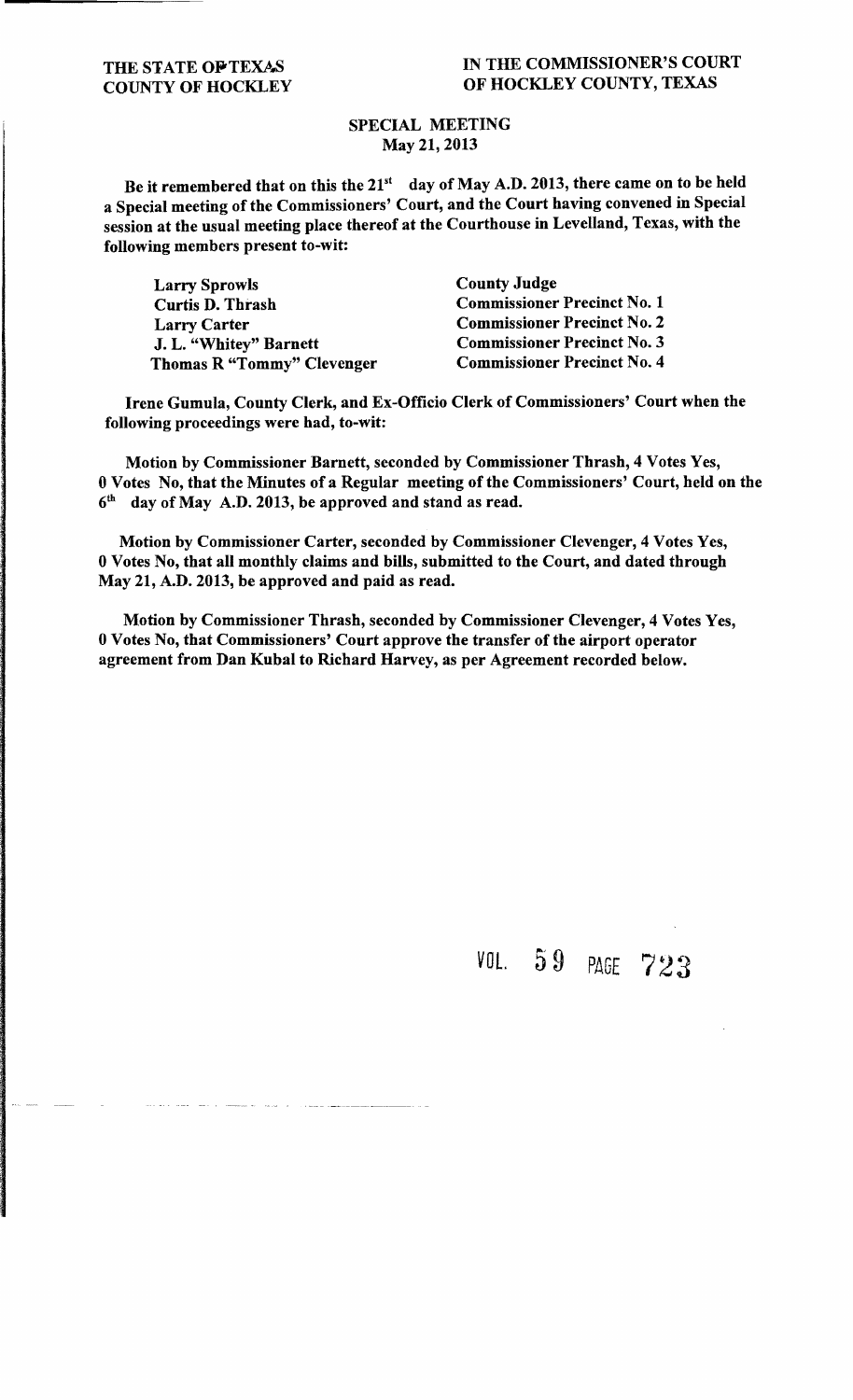#### SPECIAL MEETING May 21, 2013

Be it remembered that on this the  $21^{st}$  day of May A.D. 2013, there came on to be held a Special meeting of the Commissioners' Court, and the Court having convened in Special session at the usual meeting place thereof at the Courthouse in Levelland, Texas, with the following members present to-wit:

| <b>Larry Sprowls</b>       | <b>County Judge</b>                |
|----------------------------|------------------------------------|
| <b>Curtis D. Thrash</b>    | <b>Commissioner Precinct No. 1</b> |
| <b>Larry Carter</b>        | <b>Commissioner Precinct No. 2</b> |
| J. L. "Whitey" Barnett     | <b>Commissioner Precinct No. 3</b> |
| Thomas R "Tommy" Clevenger | <b>Commissioner Precinct No. 4</b> |

Irene Gumula, County Clerk, and Ex-Officio Clerk of Commissioners' Court when the following proceedings were had, to-wit:

Motion by Commissioner Barnett, seconded by Commissioner Thrash, 4 Votes Yes, 0 Votes No, that the Minutes of a Regular meeting of the Commissioners' Court, held on the 6th day of May A.D. 2013, be approved and stand as read.

Motion by Commissioner Carter, seconded by Commissioner Clevenger, 4 Votes Yes, 0 Votes No, that all monthly claims and bills, submitted to the Court, and dated through May 21, A.D. 2013, be approved and paid as read.

Motion by Commissioner Thrash, seconded by Commissioner Clevenger, 4 Votes Yes, 0 Votes No, that Commissioners' Court approve the transfer of the airport operator agreement from Dan Kubal to Richard Harvey, as per Agreement recorded below.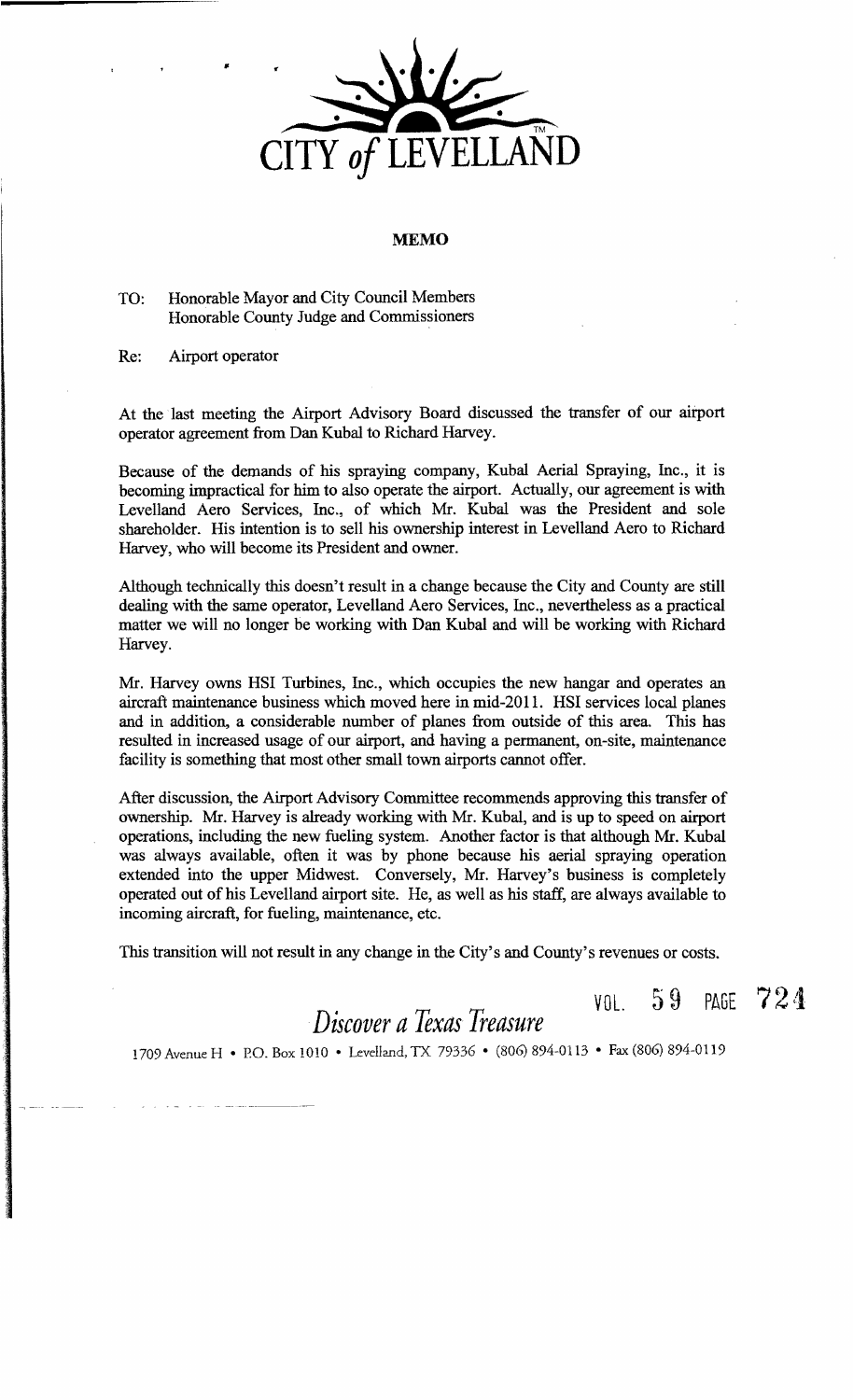

#### **MEMO**

#### TO: Honorable Mayor and City Council Members Honorable County Judge and Commissioners

Re: Airport operator

•

At the last meeting the Airport Advisory Board discussed the transfer of our airport operator agreement from Dan Kubal to Richard Harvey.

Because of the demands of his spraying company, Kubal Aerial Spraying, Inc., it is becoming impractical for him to also operate the airport. Actually, our agreement is with Levelland Aero Services, Inc., of which Mr. Kubal was the President and sole shareholder. His intention is to sell his ownership interest in Levelland Aero to Richard Harvey, who will become its President and owner.

Although technically this doesn't result in a change because the City and County are still dealing with the same operator, Levelland Aero Services, Inc., nevertheless as a practical matter we will no longer be working with Dan Kubal and will be working with Richard Harvey.

Mr. Harvey owns HSI Turbines, Inc., which occupies the new hangar and operates an aircraft maintenance business which moved here in mid-2011. HSI services local planes and in addition, a considerable number of planes from outside of this area. This has resulted in increased usage of our airport, and having a permanent, on-site, maintenance facility is something that most other small town airports cannot offer.

After discussion, the Airport Advisory Committee recommends approving this transfer of ownership. Mr. Harvey is already working with Mr. Kubal, and is up to speed on airport operations, including the new fueling system. Another factor is that although Mr. Kubal was always available, often it was by phone because his aerial spraying operation extended into the upper Midwest. Conversely, Mr. Harvey's business is completely operated out of his Levelland airport site. He, as well as his staff, are always available to incoming aircraft, for fueling, maintenance, etc.

This transition will not result in any change in the City's and County's revenues or costs.

*Discover aTexas Treasure* 

 $\sqrt{v_0}$ , 59 PAGE 724

1709 Avenue H • P.O. Box 1010 • Levelland, TX 79336 • (806) 894-0113 • Fax (806) 894-0119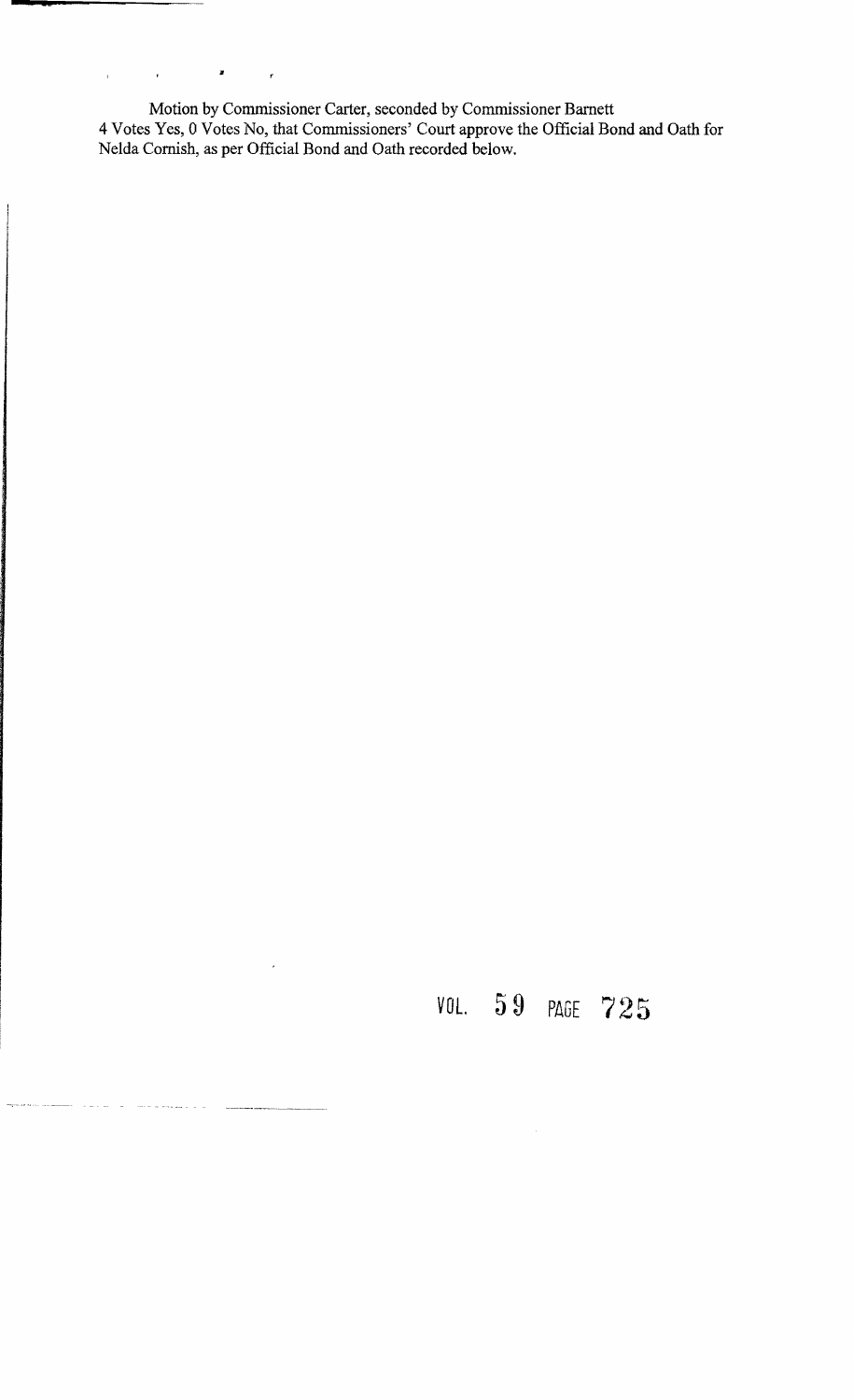Motion by Commissioner Carter, seconded by Commissioner Barnett 4 Votes Yes, 0 Votes No, that Commissioners' Court approve the Official Bond and Oath for Nelda Cornish, as per Official Bond and Oath recorded below.

**sa** 

 $\hat{\mathbf{r}}$ 

 $\hat{\mathbf{r}}$ 

a assault in the

"

 $\bar{r}$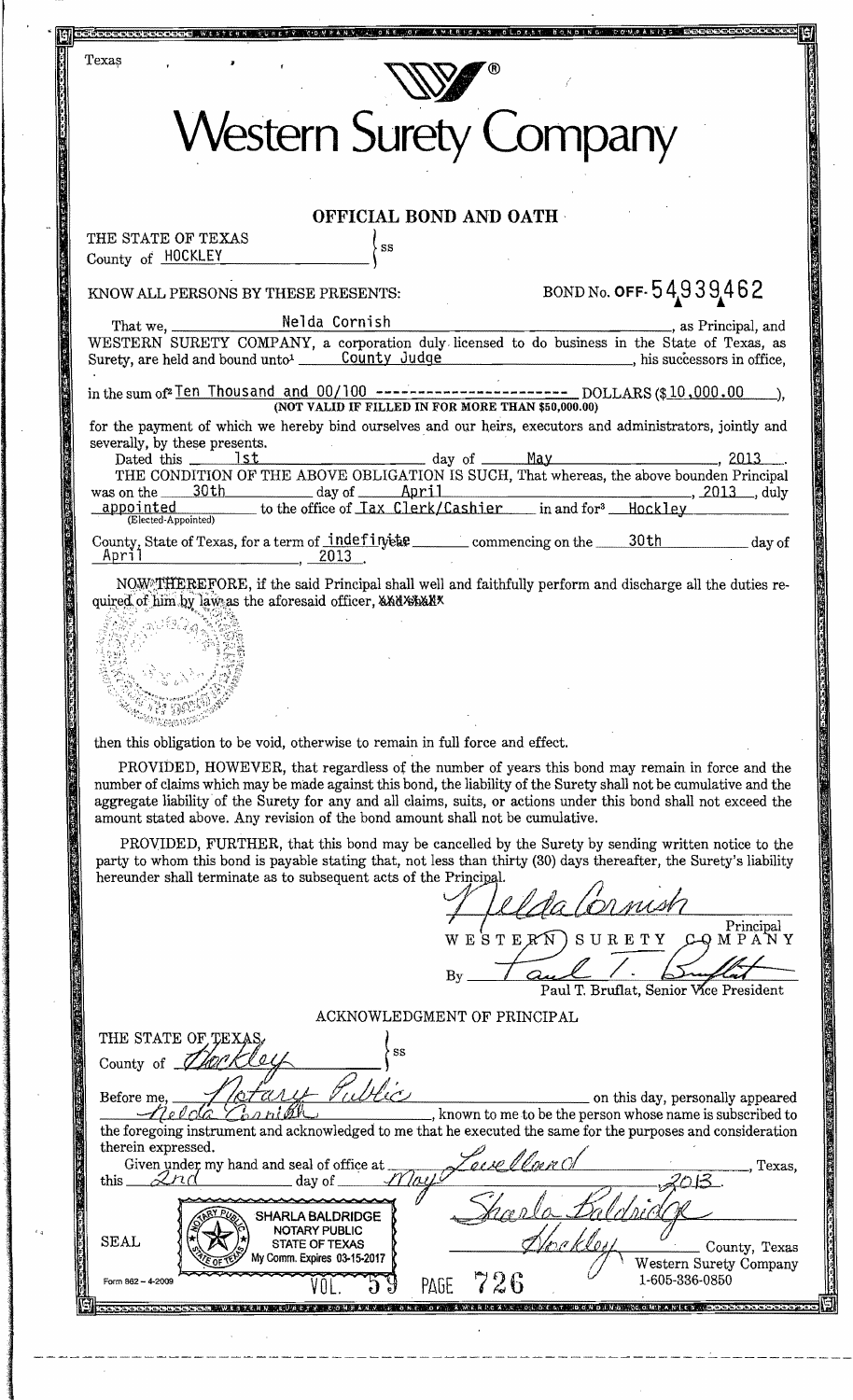| <b>Western Surety Company</b>                                                                                                                                                                                                                                                                                                                                                                                             |
|---------------------------------------------------------------------------------------------------------------------------------------------------------------------------------------------------------------------------------------------------------------------------------------------------------------------------------------------------------------------------------------------------------------------------|
| OFFICIAL BOND AND OATH                                                                                                                                                                                                                                                                                                                                                                                                    |
| THE STATE OF TEXAS<br>SS<br>County of HOCKLEY                                                                                                                                                                                                                                                                                                                                                                             |
| BOND No. OFF-54939462<br>KNOW ALL PERSONS BY THESE PRESENTS:                                                                                                                                                                                                                                                                                                                                                              |
| same Brincipal, and<br>WESTERN SURETY COMPANY, a corporation duly licensed to do business in the State of Texas, as                                                                                                                                                                                                                                                                                                       |
| in the sum of <sup>2</sup> Ten Thousand and $00/100$ ----------------------- DOLLARS (\$10,000.00 )<br>(NOT VALID IF FILLED IN FOR MORE THAN \$50,000.00)                                                                                                                                                                                                                                                                 |
| for the payment of which we hereby bind ourselves and our heirs, executors and administrators, jointly and<br>severally, by these presents.<br>Dated this 1st 1st day of May 4x and May 2013.                                                                                                                                                                                                                             |
| was on the 30th day of April , 2013 , duly appointed to the office of $\frac{1}{2}$ and $\frac{1}{2}$ appointed to the office of $\frac{1}{2}$ and $\frac{1}{2}$ and $\frac{1}{2}$ and $\frac{1}{2}$ and $\frac{1}{2}$ and $\frac{1}{2}$ and $\frac{1}{2}$ and $\frac$                                                                                                                                                    |
| (Elected-Appointed)<br>County, State of Texas, for a term of indefinitive commencing on the 30th day of<br>April<br>$\sim$ 2013                                                                                                                                                                                                                                                                                           |
| NOW THEREFORE, if the said Principal shall well and faithfully perform and discharge all the duties re-<br>quired of him by law as the aforesaid officer, AANABANX                                                                                                                                                                                                                                                        |
| then this obligation to be void, otherwise to remain in full force and effect.                                                                                                                                                                                                                                                                                                                                            |
| PROVIDED, HOWEVER, that regardless of the number of years this bond may remain in force and the<br>number of claims which may be made against this bond, the liability of the Surety shall not be cumulative and the<br>aggregate liability of the Surety for any and all claims, suits, or actions under this bond shall not exceed the<br>amount stated above. Any revision of the bond amount shall not be cumulative. |
| PROVIDED, FURTHER, that this bond may be cancelled by the Surety by sending written notice to the<br>party to whom this bond is payable stating that, not less than thirty (30) days thereafter, the Surety's liability<br>hereunder shall terminate as to subsequent acts of the Principal.                                                                                                                              |
|                                                                                                                                                                                                                                                                                                                                                                                                                           |
| Principal<br>MPANY<br>SURETY<br>W E S T E K N<br>$C\rightarrow Q$<br>$\mathbf{B}\mathbf{y}$                                                                                                                                                                                                                                                                                                                               |
| Paul T. Bruflat, Senior Vice President<br>ACKNOWLEDGMENT OF PRINCIPAL                                                                                                                                                                                                                                                                                                                                                     |
| THE STATE OF TEXA<br>SS<br>County of                                                                                                                                                                                                                                                                                                                                                                                      |
| . Mio<br>Before me,<br>on this day, personally appeared<br>, known to me to be the person whose name is subscribed to<br>the foregoing instrument and acknowledged to me that he executed the same for the purposes and consideration                                                                                                                                                                                     |
| therein expressed.<br>Given under my hand and seal of office at<br>Texas,<br>$2n$ d<br>this_<br>day of                                                                                                                                                                                                                                                                                                                    |
| <b>SHARLA BALDRIDGE</b><br>NOTARY PUBLIC<br><b>SEAL</b><br><b>STATE OF TEXAS</b><br>County, Texas<br>My Comm. Expires 03-15-2017<br>Western Surety Company                                                                                                                                                                                                                                                                |
| 1-605-336-0850<br>LOU<br>Form 862 - 4-2009<br>99<br>PAGE $726$<br>VOL.<br>cooppoppoppoppopporte alle primeters and character of the compart of the coopport of the moon contrart of the cooppop                                                                                                                                                                                                                           |

17. 《少女》1999年1999年19月19日,1999年19月19日,1999年19月19日,1999年19月19日,1999年19月19日,1999年19月19日,1999年19月19日,199

į,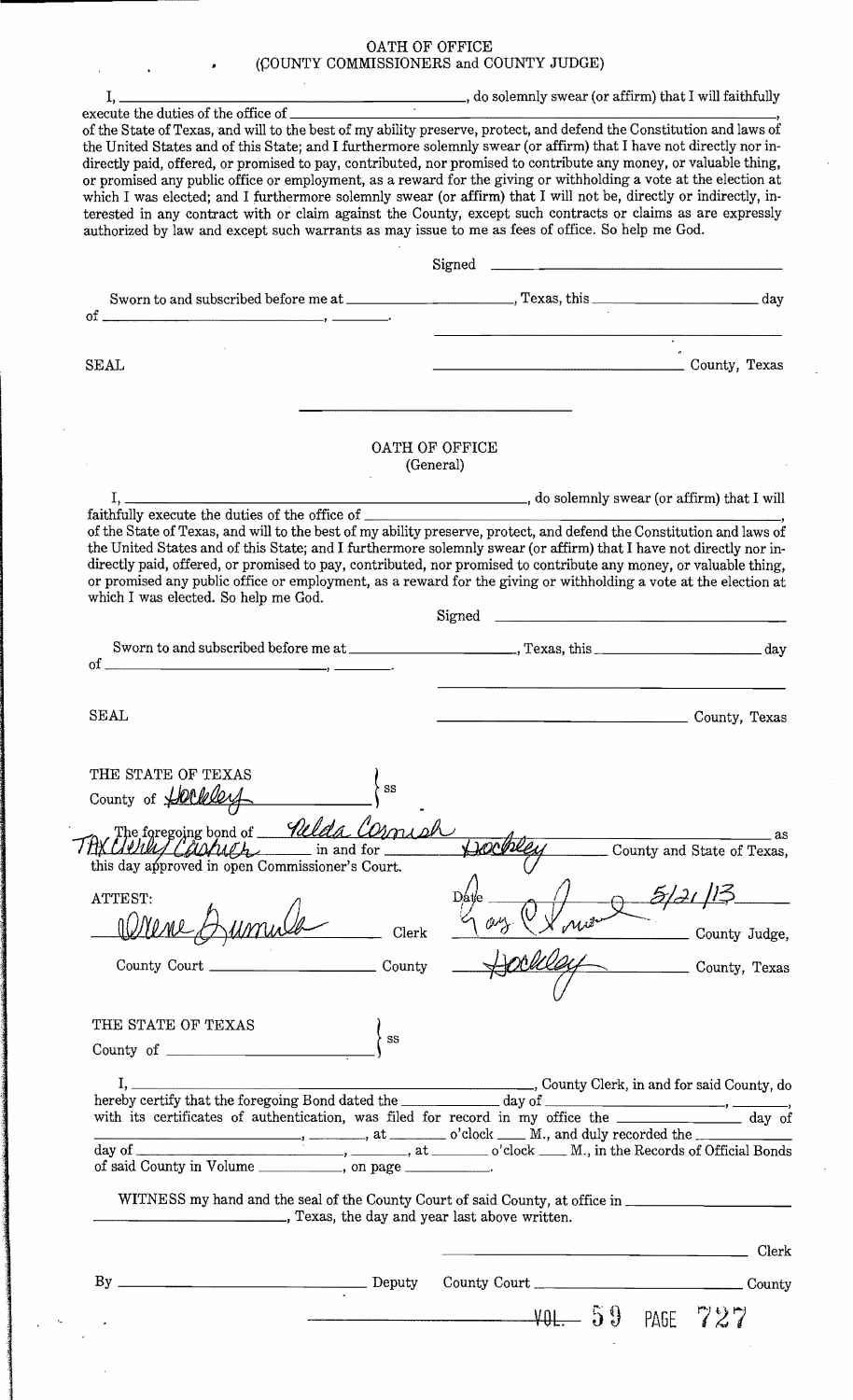# OATH OF OFFICE<br>(COUNTY COMMISSIONERS and COUNTY JUDGE)

| authorized by law and except such warrants as may issue to me as fees of office. So help me God. | the United States and of this State; and I furthermore solemnly swear (or affirm) that I have not directly nor in-<br>directly paid, offered, or promised to pay, contributed, nor promised to contribute any money, or valuable thing,<br>or promised any public office or employment, as a reward for the giving or withholding a vote at the election at<br>which I was elected; and I furthermore solemnly swear (or affirm) that I will not be, directly or indirectly, in-<br>terested in any contract with or claim against the County, except such contracts or claims as are expressly |
|--------------------------------------------------------------------------------------------------|-------------------------------------------------------------------------------------------------------------------------------------------------------------------------------------------------------------------------------------------------------------------------------------------------------------------------------------------------------------------------------------------------------------------------------------------------------------------------------------------------------------------------------------------------------------------------------------------------|
|                                                                                                  |                                                                                                                                                                                                                                                                                                                                                                                                                                                                                                                                                                                                 |
|                                                                                                  |                                                                                                                                                                                                                                                                                                                                                                                                                                                                                                                                                                                                 |
|                                                                                                  |                                                                                                                                                                                                                                                                                                                                                                                                                                                                                                                                                                                                 |
|                                                                                                  | $\overline{\cdot}$                                                                                                                                                                                                                                                                                                                                                                                                                                                                                                                                                                              |
| <b>SEAL</b>                                                                                      | County, Texas                                                                                                                                                                                                                                                                                                                                                                                                                                                                                                                                                                                   |
|                                                                                                  |                                                                                                                                                                                                                                                                                                                                                                                                                                                                                                                                                                                                 |
|                                                                                                  | OATH OF OFFICE<br>(General)                                                                                                                                                                                                                                                                                                                                                                                                                                                                                                                                                                     |
|                                                                                                  |                                                                                                                                                                                                                                                                                                                                                                                                                                                                                                                                                                                                 |
|                                                                                                  | of the State of Texas, and will to the best of my ability preserve, protect, and defend the Constitution and laws of                                                                                                                                                                                                                                                                                                                                                                                                                                                                            |
| which I was elected. So help me God.                                                             | the United States and of this State; and I furthermore solemnly swear (or affirm) that I have not directly nor in-<br>directly paid, offered, or promised to pay, contributed, nor promised to contribute any money, or valuable thing,<br>or promised any public office or employment, as a reward for the giving or withholding a vote at the election at                                                                                                                                                                                                                                     |
|                                                                                                  |                                                                                                                                                                                                                                                                                                                                                                                                                                                                                                                                                                                                 |
| οf                                                                                               |                                                                                                                                                                                                                                                                                                                                                                                                                                                                                                                                                                                                 |
| <b>SEAL</b>                                                                                      | County, Texas                                                                                                                                                                                                                                                                                                                                                                                                                                                                                                                                                                                   |
|                                                                                                  |                                                                                                                                                                                                                                                                                                                                                                                                                                                                                                                                                                                                 |
| THE STATE OF TEXAS<br>SS<br>County of Harkley                                                    |                                                                                                                                                                                                                                                                                                                                                                                                                                                                                                                                                                                                 |
| The foregoing bond of <i>Welda COMMI</i>                                                         | $\sim$ as                                                                                                                                                                                                                                                                                                                                                                                                                                                                                                                                                                                       |
| THX Clerky Carpenter in and for<br>this day approved in open Commissioner's Court.               | County and State of Texas,                                                                                                                                                                                                                                                                                                                                                                                                                                                                                                                                                                      |
|                                                                                                  |                                                                                                                                                                                                                                                                                                                                                                                                                                                                                                                                                                                                 |
|                                                                                                  |                                                                                                                                                                                                                                                                                                                                                                                                                                                                                                                                                                                                 |
|                                                                                                  | 5/21                                                                                                                                                                                                                                                                                                                                                                                                                                                                                                                                                                                            |
| 10 mene<br>Clerk                                                                                 |                                                                                                                                                                                                                                                                                                                                                                                                                                                                                                                                                                                                 |
|                                                                                                  |                                                                                                                                                                                                                                                                                                                                                                                                                                                                                                                                                                                                 |
|                                                                                                  |                                                                                                                                                                                                                                                                                                                                                                                                                                                                                                                                                                                                 |
| SS                                                                                               |                                                                                                                                                                                                                                                                                                                                                                                                                                                                                                                                                                                                 |
|                                                                                                  |                                                                                                                                                                                                                                                                                                                                                                                                                                                                                                                                                                                                 |
|                                                                                                  |                                                                                                                                                                                                                                                                                                                                                                                                                                                                                                                                                                                                 |
|                                                                                                  |                                                                                                                                                                                                                                                                                                                                                                                                                                                                                                                                                                                                 |
|                                                                                                  | $\frac{1}{2}$ , $\frac{1}{2}$ , $\frac{1}{2}$ , $\frac{1}{2}$ , $\frac{1}{2}$ , $\frac{1}{2}$ , $\frac{1}{2}$ , $\frac{1}{2}$ , $\frac{1}{2}$ , $\frac{1}{2}$ , $\frac{1}{2}$ , $\frac{1}{2}$ , $\frac{1}{2}$ , $\frac{1}{2}$ , $\frac{1}{2}$ , $\frac{1}{2}$ , $\frac{1}{2}$ , $\frac{1}{2}$ , $\frac{1}{2}$ , $\frac{1}{2}$ ,                                                                                                                                                                                                                                                                 |
| of said County in Volume _____________, on page ___________.                                     | WITNESS my hand and the seal of the County Court of said County, at office in __________                                                                                                                                                                                                                                                                                                                                                                                                                                                                                                        |
| Texas, the day and year last above written.                                                      |                                                                                                                                                                                                                                                                                                                                                                                                                                                                                                                                                                                                 |
|                                                                                                  | County Judge,<br>County, Texas<br>Clerk                                                                                                                                                                                                                                                                                                                                                                                                                                                                                                                                                         |
| ATTEST:<br>THE STATE OF TEXAS<br>$\equiv$ Deputy                                                 | County Court                                                                                                                                                                                                                                                                                                                                                                                                                                                                                                                                                                                    |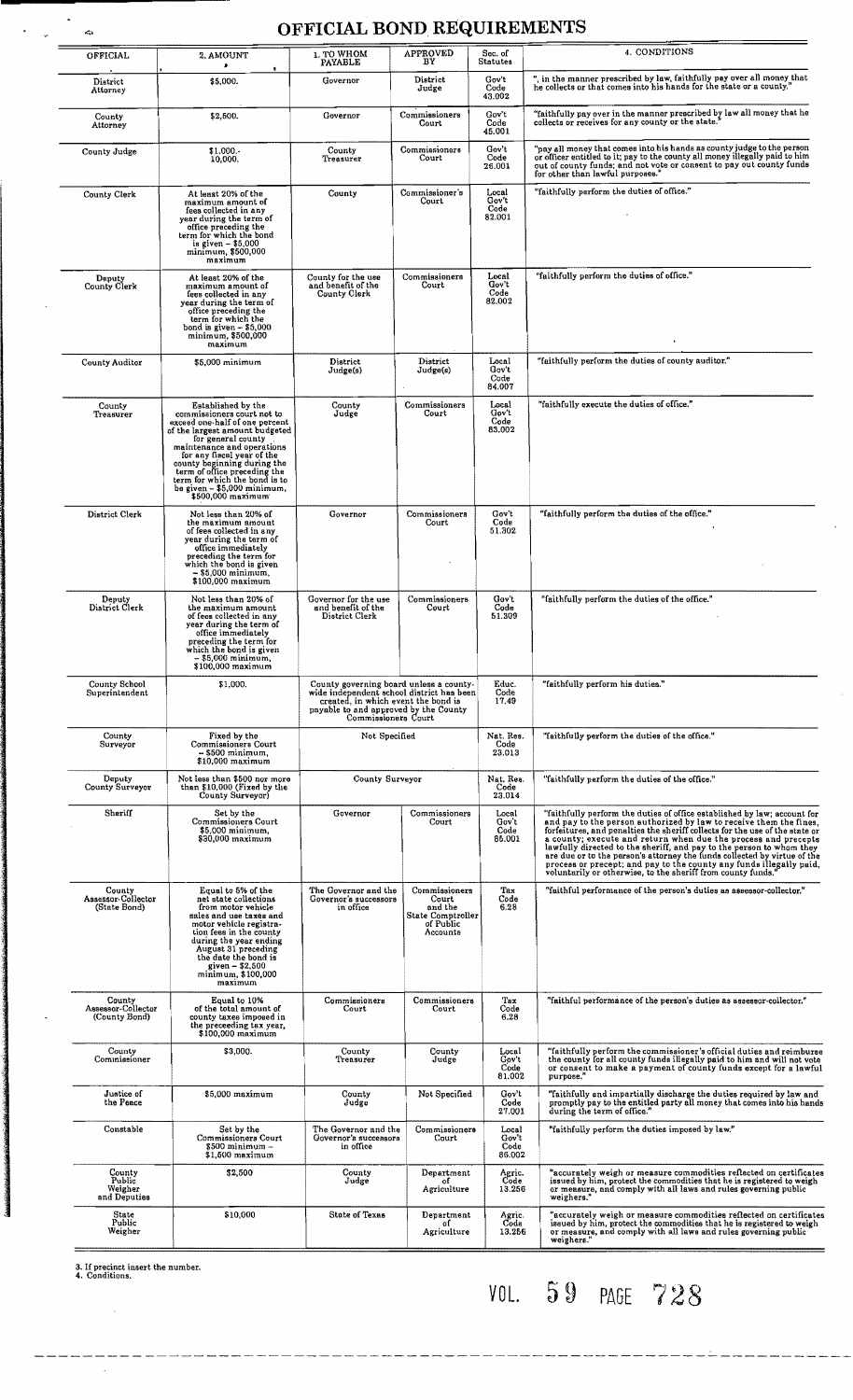### OFFICIAL BOND REQUIREMENTS

| OFFICIAL                                      | 2. AMOUNT                                                                                                                                                                                                                                                                                                                                                  | 1. TO WHOM<br>PAYABLE                                                                                                                                                                       | <b>APPROVED</b><br>BY                                                           | Sec. of<br><b>Statutes</b>       | 4. CONDITIONS                                                                                                                                                                                                                                                                                                                                                                                                                                                                                                                                                                           |
|-----------------------------------------------|------------------------------------------------------------------------------------------------------------------------------------------------------------------------------------------------------------------------------------------------------------------------------------------------------------------------------------------------------------|---------------------------------------------------------------------------------------------------------------------------------------------------------------------------------------------|---------------------------------------------------------------------------------|----------------------------------|-----------------------------------------------------------------------------------------------------------------------------------------------------------------------------------------------------------------------------------------------------------------------------------------------------------------------------------------------------------------------------------------------------------------------------------------------------------------------------------------------------------------------------------------------------------------------------------------|
| District<br>Attorney                          | ٠<br>\$5,000.                                                                                                                                                                                                                                                                                                                                              | Governor                                                                                                                                                                                    | District<br>Judge                                                               | Gov't<br>Code<br>43.002          | ", in the manner prescribed by law, faithfully pay over all money that<br>he collects or that comes into his hands for the state or a county."                                                                                                                                                                                                                                                                                                                                                                                                                                          |
| County<br>Attorney                            | \$2,500.                                                                                                                                                                                                                                                                                                                                                   | Governor                                                                                                                                                                                    | Commissioners<br>Court                                                          | Gov't<br>Code<br>45.001          | "faithfully pay over in the manner prescribed by law all money that he<br>collects or receives for any county or the state.                                                                                                                                                                                                                                                                                                                                                                                                                                                             |
| County Judge                                  | \$1.000.<br>10,000.                                                                                                                                                                                                                                                                                                                                        | County<br>Treasurer                                                                                                                                                                         | Commissioners<br>Court                                                          | Gov't<br>Code<br>26.001          | "pay all money that comes into his hands as county judge to the person<br>or officer entitled to it; pay to the county all money illegally paid to him<br>out of county funds; and not vote or consent to pay out county funds<br>for other than lawful purposes."                                                                                                                                                                                                                                                                                                                      |
| County Clerk                                  | At least 20% of the<br>maximum amount of<br>fees collected in any<br>year during the term of<br>office preceding the<br>term for which the bond<br>is given $-$ \$5,000<br>minimum, \$500,000<br>maximum                                                                                                                                                   | County                                                                                                                                                                                      | Commissioner's<br>Court                                                         | Local<br>Gov't<br>Code<br>82.001 | "faithfully perform the duties of office."                                                                                                                                                                                                                                                                                                                                                                                                                                                                                                                                              |
| Deputy<br>County Clerk                        | At least 20% of the<br>maximum amount of<br>fees collected in any<br>year during the term of<br>office preceding the<br>term for which the<br>bond is given $-$ \$5,000<br>minimum, \$500,000<br>maximum                                                                                                                                                   | County for the use<br>and benefit of the<br>County Clerk                                                                                                                                    | Commissioners<br>Court                                                          | Local<br>Gov't<br>Code<br>82.002 | "faithfully perform the duties of office."                                                                                                                                                                                                                                                                                                                                                                                                                                                                                                                                              |
| County Auditor                                | \$5,000 minimum                                                                                                                                                                                                                                                                                                                                            | District<br>Judge(s)                                                                                                                                                                        | District<br>Judge(s)                                                            | Local<br>Gov't<br>Code<br>84.007 | "faithfully perform the duties of county auditor."                                                                                                                                                                                                                                                                                                                                                                                                                                                                                                                                      |
| County<br>Treasurer                           | Established by the<br>commissioners court not to<br>exceed one-half of one percent<br>of the largest amount budgeted<br>for general county<br>maintenance and operations<br>for any fiscal year of the<br>county beginning during the<br>term of office preceding the<br>term for which the bond is to<br>be given - \$5,000 minimum,<br>\$500,000 maximum | County<br>Judge                                                                                                                                                                             | Commissioners<br>Court                                                          | Local<br>Gov't<br>Code<br>83.002 | "faithfully execute the duties of office."                                                                                                                                                                                                                                                                                                                                                                                                                                                                                                                                              |
| District Clerk                                | Not less than 20% of<br>the maximum amount<br>of fees collected in any<br>year during the term of<br>office immediately<br>preceding the term for<br>which the bond is given<br>– \$5,000 minimum,<br>$$100,000$ maximum                                                                                                                                   | Governor                                                                                                                                                                                    | Commissioners<br>Court                                                          | Gov't<br>Code<br>51.302          | "faithfully perform the duties of the office."                                                                                                                                                                                                                                                                                                                                                                                                                                                                                                                                          |
| Deputy<br>District Clerk                      | Not less than 20% of<br>the maximum amount<br>of fees collected in any<br>year during the term of<br>office immediately<br>preceding the term for<br>which the bond is given<br>$-$ \$5,000 minimum,<br>\$100,000 maximum                                                                                                                                  | Governor for the use<br>and benefit of the<br>District Clerk                                                                                                                                | Commissioners<br>Court                                                          | Gov't<br>Code<br>51.309          | "faithfully perform the duties of the office."                                                                                                                                                                                                                                                                                                                                                                                                                                                                                                                                          |
| County School<br>Superintendent               | \$1,000.                                                                                                                                                                                                                                                                                                                                                   | County governing board unless a county-<br>wide independent school district has been<br>created, in which event the bond is<br>payable to and approved by the County<br>Commissioners Court |                                                                                 | Educ.<br>Code<br>17.49           | "faithfully perform his duties."                                                                                                                                                                                                                                                                                                                                                                                                                                                                                                                                                        |
| County<br>Surveyor                            | Fixed by the<br>Commissioners Court<br>– \$500 minimum.<br>\$10,000 maximum                                                                                                                                                                                                                                                                                | Not Specified                                                                                                                                                                               |                                                                                 | Nat. Res.<br>Code<br>23.013      | "faithfully perform the duties of the office."                                                                                                                                                                                                                                                                                                                                                                                                                                                                                                                                          |
| Deputy<br>County Surveyor                     | Not less than \$500 nor more<br>than \$10,000 (Fixed by the<br>County Surveyor)                                                                                                                                                                                                                                                                            |                                                                                                                                                                                             | County Surveyor                                                                 |                                  | "faithfully perform the duties of the office."                                                                                                                                                                                                                                                                                                                                                                                                                                                                                                                                          |
| Sheriff                                       | Set by the<br>Commissioners Court<br>\$5,000 minimum,<br>\$30,000 maximum                                                                                                                                                                                                                                                                                  | Governor<br>Commissioners<br>Court                                                                                                                                                          |                                                                                 | Local<br>Gov't<br>Code<br>85.001 | "faithfully perform the duties of office established by law; account for<br>and pay to the person authorized by law to receive them the fines.<br>forfeitures, and penalties the sheriff collects for the use of the state or<br>a county; execute and return when due the process and precepts<br>lawfully directed to the sheriff, and pay to the person to whom they are due or to the person's attorney the funds collected by virtue of the<br>process or precept; and pay to the county any funds illegally paid,<br>voluntarily or otherwise, to the sheriff from county funds.' |
| County<br>Assessor-Collector<br>(State Bond)  | Equal to 5% of the<br>net state collections<br>from motor vehicle<br>sales and use taxes and<br>motor vehicle registra-<br>tion fees in the county<br>during the year ending<br>August 31 preceding<br>the date the bond is<br>given $-$ \$2,500<br>minimum, \$100,000<br>maximum                                                                          | The Governor and the<br>Governor's successors<br>in office                                                                                                                                  | Commissioners<br>Court<br>and the<br>State Comptroller<br>of Public<br>Accounts | Tax<br>Code<br>6.28              | "faithful performance of the person's duties as assessor-collector."                                                                                                                                                                                                                                                                                                                                                                                                                                                                                                                    |
| County<br>Assessor-Collector<br>(County Bond) | Equal to 10%<br>of the total amount of<br>county taxes imposed in<br>the preceeding tax year,<br>\$100,000 maximum                                                                                                                                                                                                                                         | Commissioners<br>Court                                                                                                                                                                      | Commissioners<br>Court                                                          | Tax<br>Code<br>6.28              | "faithful performance of the person's duties as assessor-collector."                                                                                                                                                                                                                                                                                                                                                                                                                                                                                                                    |
| County<br>Commissioner                        | \$3,000.                                                                                                                                                                                                                                                                                                                                                   | County<br>Treasurer                                                                                                                                                                         | County<br>Judge                                                                 | Local<br>Gov't<br>Code<br>81.002 | "faithfully perform the commissioner's official duties and reimburse<br>the county for all county funds illegally paid to him and will not vote<br>or consent to make a payment of county funds except for a lawful<br>purpose."                                                                                                                                                                                                                                                                                                                                                        |
| Justice of<br>the Peace                       | $$5.000$ maximum                                                                                                                                                                                                                                                                                                                                           | County<br>Judge                                                                                                                                                                             | Not Specified                                                                   | Gov't<br>Code<br>27.001          | "faithfully and impartially discharge the duties required by law and<br>promptly pay to the entitled party all money that comes into his hands<br>during the term of office."                                                                                                                                                                                                                                                                                                                                                                                                           |
| Constable                                     | Set by the<br>Commissioners Court<br>$$500$ minimum $-$<br>$$1,500$ maximum                                                                                                                                                                                                                                                                                | The Governor and the<br>Governor's successors<br>in office                                                                                                                                  | Commissioners<br>Court                                                          | Local<br>Gov't<br>Code<br>86.002 | "faithfully perform the duties imposed by law."                                                                                                                                                                                                                                                                                                                                                                                                                                                                                                                                         |
| County<br>Public<br>Weigher<br>and Deputies   | \$2,500                                                                                                                                                                                                                                                                                                                                                    | County<br>Judge                                                                                                                                                                             | Department<br>of<br>Agriculture                                                 | Agric.<br>Code<br>13.256         | "accurately weigh or measure commodities reflected on certificates<br>issued by him, protect the commodities that he is registered to weigh<br>or measure, and comply with all laws and rules governing public<br>weighers."                                                                                                                                                                                                                                                                                                                                                            |
| State<br>Public<br>Weigher                    | \$10,000                                                                                                                                                                                                                                                                                                                                                   | <b>State of Texas</b>                                                                                                                                                                       | Department<br>of<br>Agriculture                                                 | Agric.<br>Code<br>13.256         | "accurately weigh or measure commodities reflected on certificates<br>issued by him, protect the commodities that he is registered to weigh<br>or measure, and comply with all laws and rules governing public                                                                                                                                                                                                                                                                                                                                                                          |

*3. IC* precinct insert the number. 4. Conditions.

 $\sim$ 

 $\sim 10$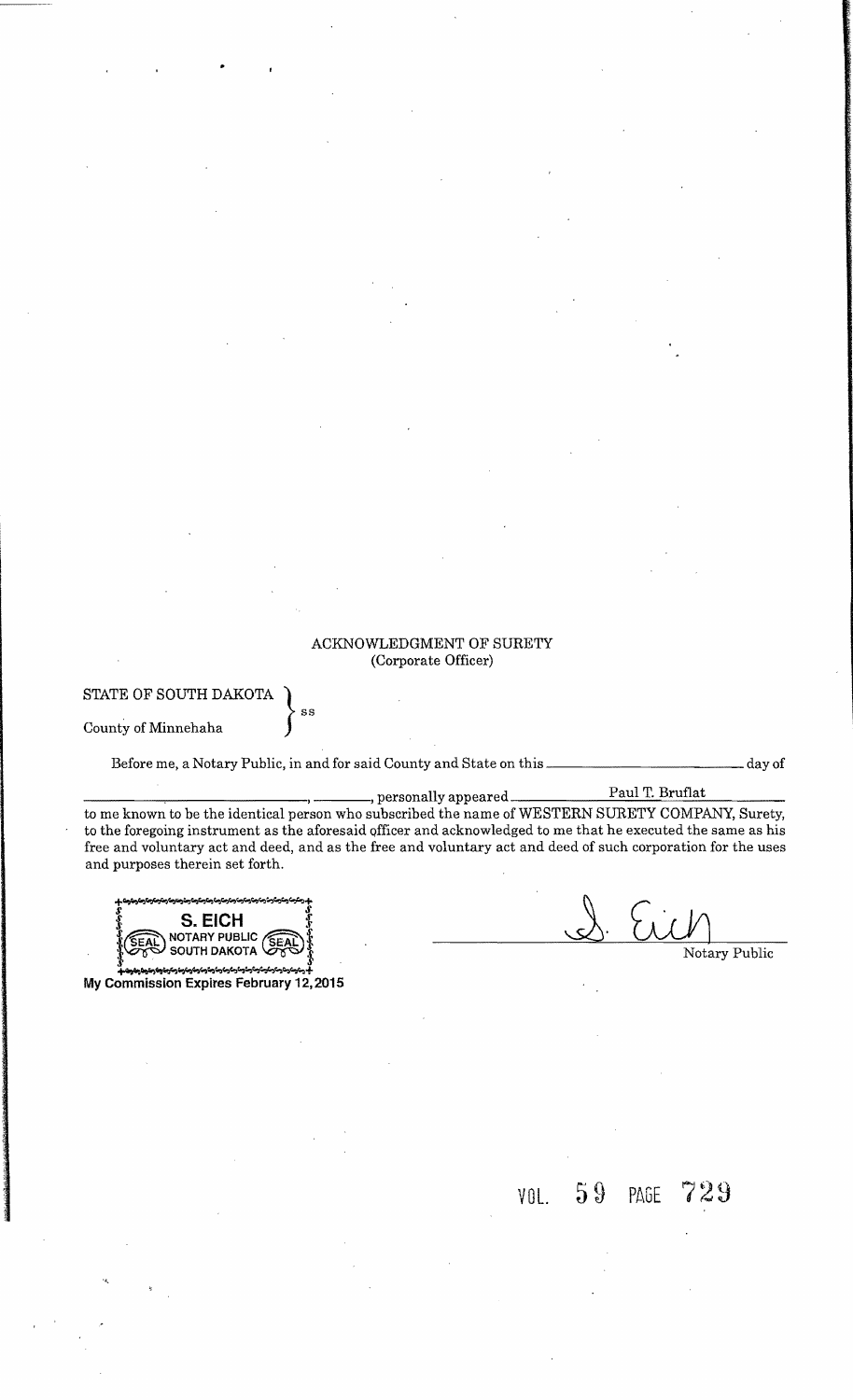#### ACKNOWLEDGMENT OF SURETY (Corporate Officer)

#### STATE OF SOUTH DAKOTA

County of Minnehaha

Before me, a Notary Public, in and for said County and State on this \_\_\_\_\_\_\_\_\_\_\_\_\_\_\_\_\_\_\_\_\_\_\_\_\_\_\_day of

ss

\_\_\_\_---,\_\_\_\_\_\_\_\_, , personally appeared Paul T. Bruflat to me known to be the identical person who subscribed the name of WESTERN SURETY COMPANY, Surety, to the foregoing instrument as the aforesaid officer and acknowledged to me that he executed the same as his free and voluntary act and deed, and as the free and voluntary act and deed of such corporation for the uses and purposes therein set forth.

+ دسترستان می شدن به توسط است به است به است دست دست به توسط است به باشد.<br>المرضوع السابع *S S*  } **S. EICH** § NOTARY PUBLIC **SEAD**  $\left\{\n\begin{array}{ccc}\n\bullet & \bullet & \bullet & \bullet \\
\bullet & \bullet & \bullet & \bullet \\
\bullet & \bullet & \bullet & \bullet\n\end{array}\n\right\}$  Notary Public

~~GotIo~"''+'>'''''''''~'''o¥oo+ My Commission Expires February 12,2015

VOL. PAGE 729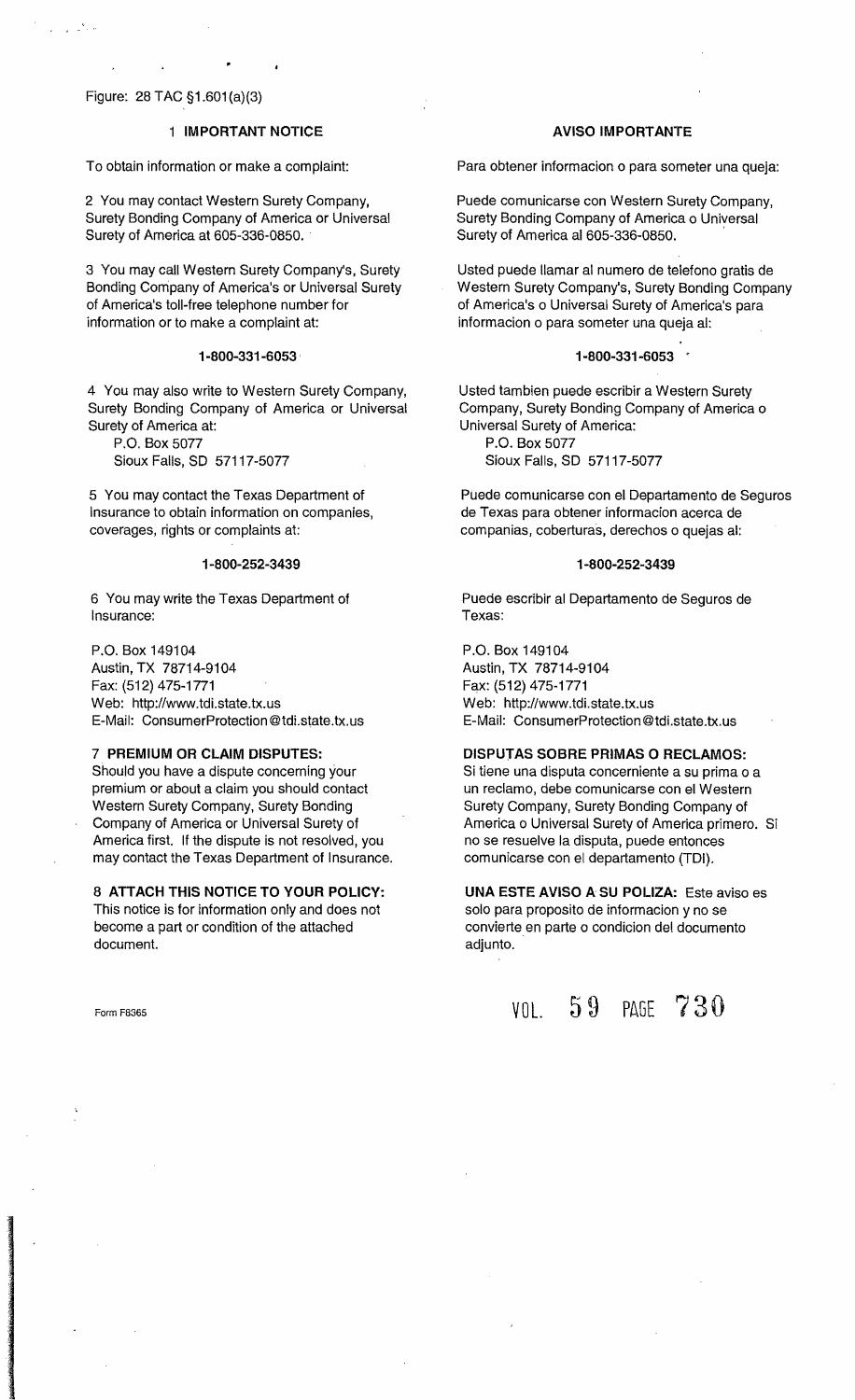### Figure: 28 TAC §1.601(a}(3)

#### 1 **IMPORTANT NOTICE**

To obtain information or make a complaint:

2 You may contact Western Surety Company, Surety Bonding Company of America or Universal Surety of America at 605-336-0850 ..

3 You may call Western Surety Company's, Surety Bonding Company of America's or Universal Surety of America's toll-free telephone number for information or to make a complaint at:

#### **1-800-331-6053 .**

4 You may also write to Western Surety Company, Surety Bonding Company of America or Universal Surety of America at:

P.O. Box 5077 Sioux Falls, SO 57117-5077

5 You may contact the Texas Department of Insurance to obtain information on companies, coverages, rights or complaints at:

#### **1-800-252-3439**

6 You may write the Texas Department of Insurance:

P.O. Box 149104 Austin, TX 78714-9104 Fax: (512) 475-1771 Web: http://www.tdi.state.tx.us E-Mail: ConsumerProtection@tdi.state.tx.us

#### 7 **PREMIUM OR CLAIM DISPUTES:**

Should you have a dispute concerning your premium or about a claim you should contact Western Surety Company, Surety Bonding Company of America or Universal Surety of America first. If the dispute is not resolved, you may contact the Texas Department of Insurance.

8 **ATTACH THIS NOTICE TO YOUR POLICY:**  This notice is for information only and does not become a part or condition of the attached document.

Form F8365

#### **AVISO IMPORTANTE**

Para obtener informacion 0 para someter una queja:

Puede comunicarse con Western Surety Company, Surety Bonding Company of America o Universal Surety of America al 605-336-0850.

Usted puede Hamar al numero de teletono gratis de Western Surety Company's, Surety Bonding Company of America's 0 Universal Surety of America's para informacion 0 para someter una queja al:

#### **1-800-331-6053 .**

Usted tambien puede escribir a Western Surety Company, Surety Bonding Company of America 0 Universal Surety of America: P.O. Box 5077

Sioux Falls, SO 57117-5077

Puede comunicarse con el Departamento de Seguros de Texas para obtener informacion acerca de companias, coberturas, derechos 0 quejas al:

#### **1-800-252-3439**

Puede escribir al Departamento de Seguros de Texas:

P.O. Box 149104 Austin, TX 78714-9104 Fax: (512) 475-1771 Web: http://www.tdi.state.tx.us E-Mail: ConsumerProtection@tdi.state.tx.us

#### **DISPUTAS SOBRE PRIMAS 0 RECLAMOS:**

Si tiene una disputa concerniente a su prima 0 a un reclamo, debe comunicarse con el Western Surety Company, Surety Bonding Company of America 0 Universal Surety of America primero. Si no se resuelve la disputa, puede entonces comunicarse con el departamento (TDI).

**UNA ESTE AVISO A SU POLIZA: Este aviso es** solo para proposito de informacion y no se convierte en parte 0 condicion del documento adjunto.

VOL. 59 PAGE 730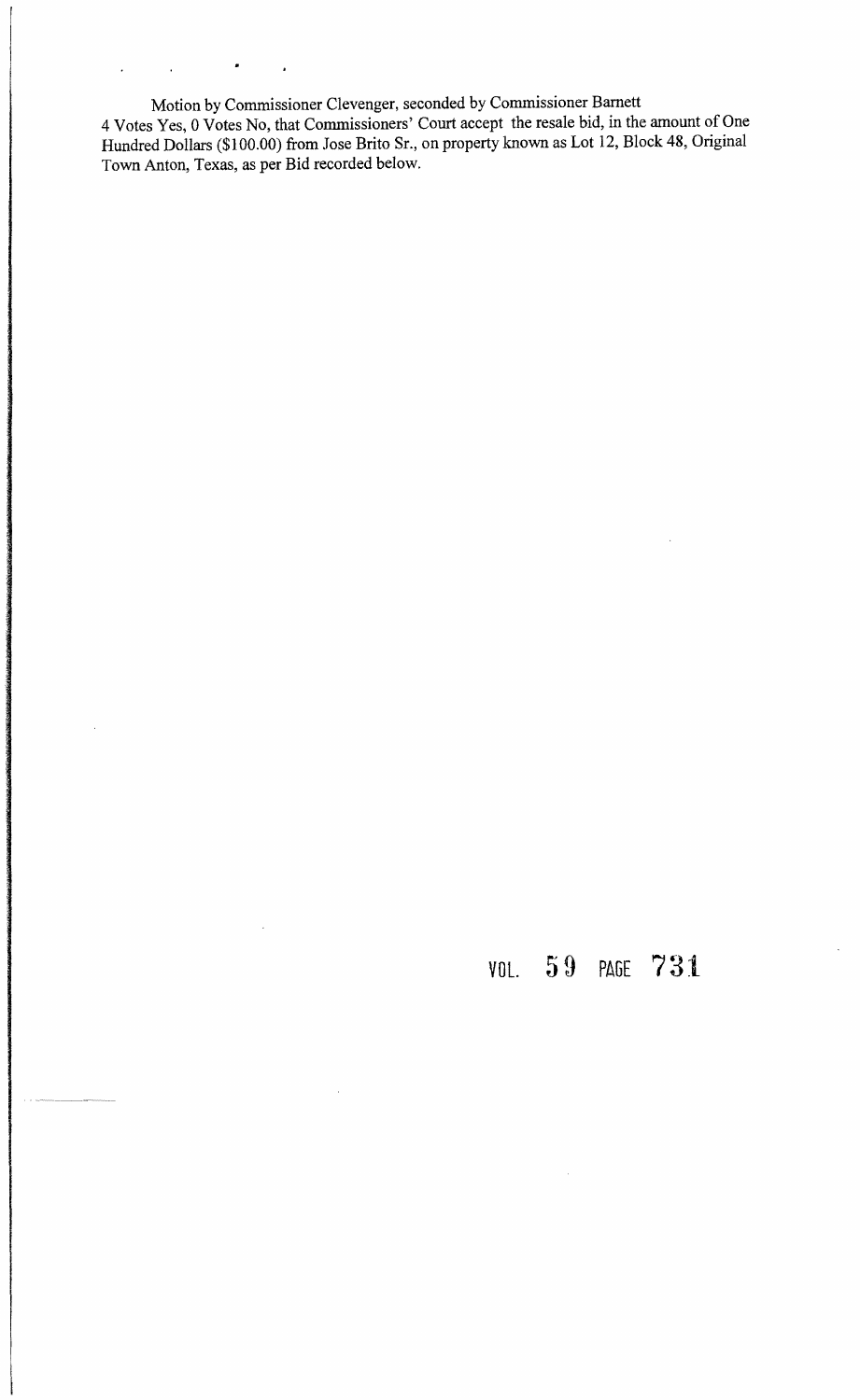Motion by Commissioner Clevenger, seconded by Commissioner Barnett 4 Votes Yes, 0 Votes No, that Commissioners' Court accept the resale bid, in the amount of One Hundred Dollars (\$100.00) from Jose Brito Sr., on property known as Lot 12, Block 48, Original Town Anton, Texas, as per Bid recorded below.

 $\bullet$ 

 $\mathbf{r}$ 

 $\hat{\mathbf{r}}$ 

 $\ddot{\phantom{0}}$ 

 $\hat{\mathbf{r}}$ 

# VOL. PAGE **731**

 $\hat{\boldsymbol{\gamma}}$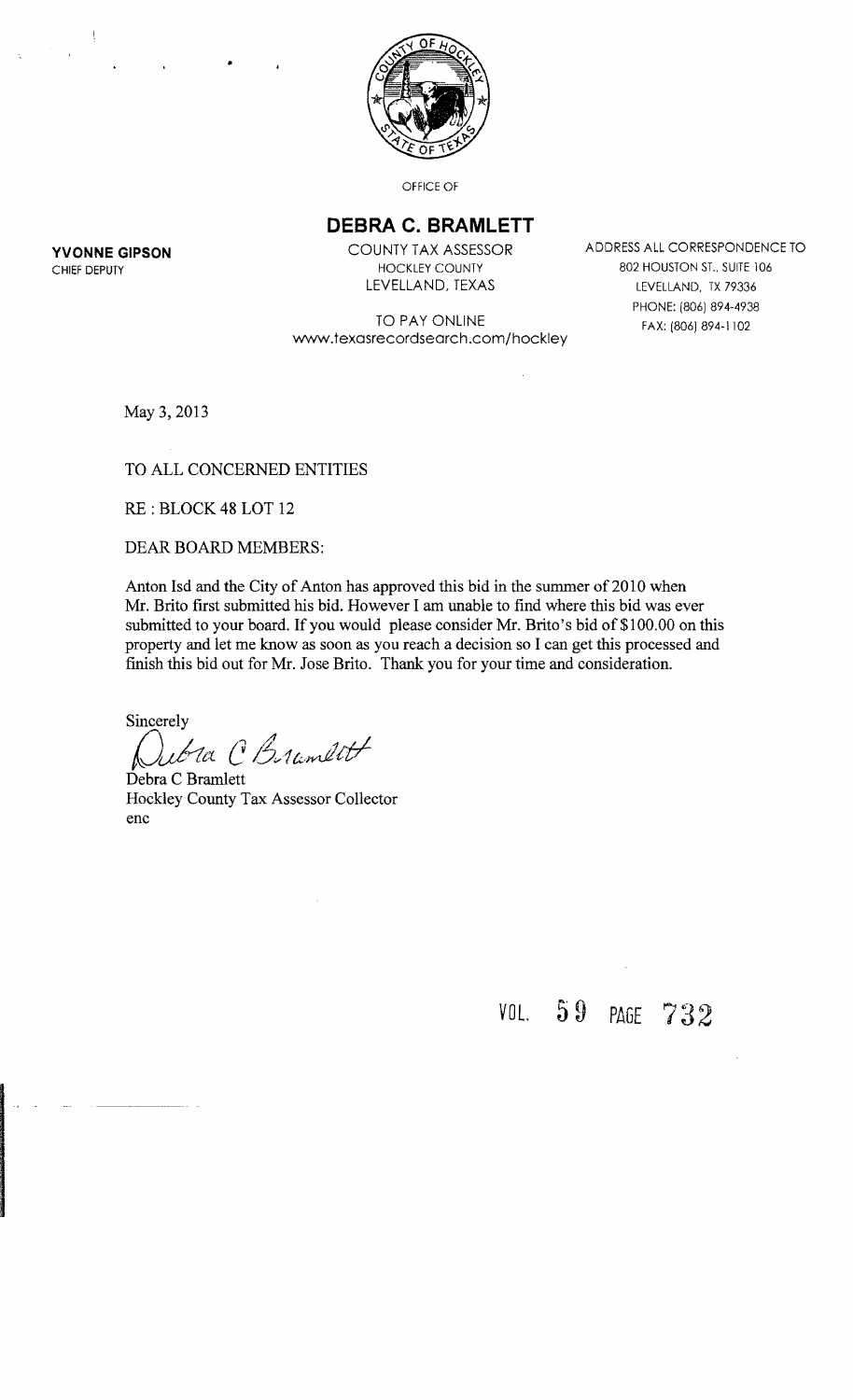

OFFICE OF

## **DEBRA C. BRAMLETT**

**YVONNE GIPSON** COUNTY TAX ASSESSOR ADDRESS ALL CORRESPONDENCE TO CHIEF DEPUTY THE RESERVED ON THE RESERVED ON THE COUNTY AND CHIEF DEPUTY AND SOLUTION ST., SUITE 106 LEVELLAND, TEXAS LEVELLAND, TX 79336 PHONE: (806) 894-4938 FAX: (806) 894-1102

TO PAY ONLINE www.texasrecordsearch.com/hockley

May 3. 2013

#### TO ALL CONCERNED ENTITIES

•

RE : BLOCK 48 LOT 12

DEAR BOARD MEMBERS:

Anton Isd and the City of Anton has approved this bid in the summer of 2010 when Mr. Brito first submitted his bid. However I am unable to find where this bid was ever submitted to your board. If you would please consider Mr. Brito's bid of \$1 00.00 on this property and let me know as soon as you reach a decision so I can get this processed and finish this bid out for Mr. Jose Brito. Thank you for your time and consideration.

Sincerely

*{Jufttt:( C6v1u,Jlt/*

Debra C Bramlett Hockley County Tax Assessor Collector enc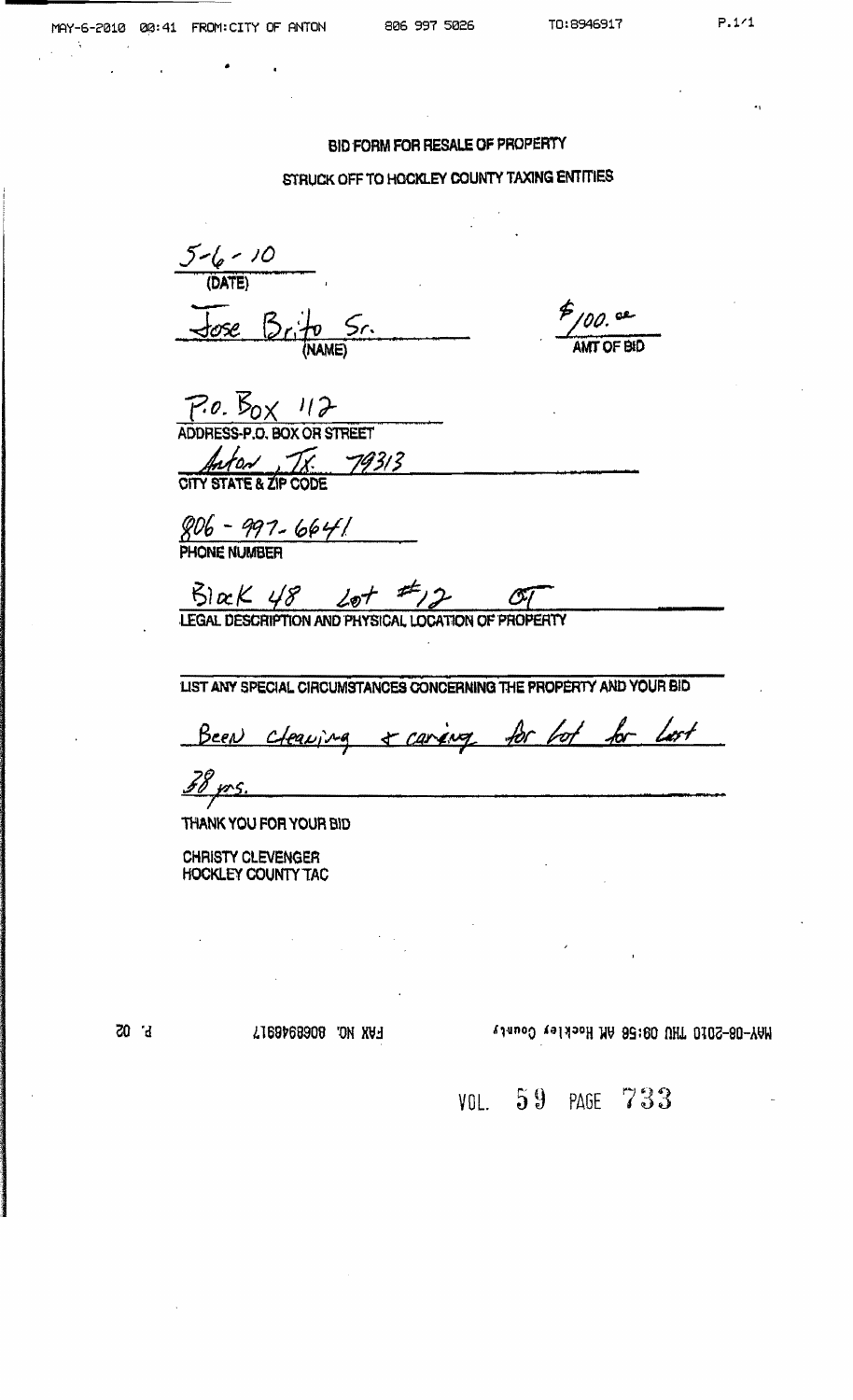#### BID FORM FOR RESALE OF PROPERTY

#### STRUCK OFF TO HOCKLEY COUNTY TAXING ENTITIES

 $5-(6 - 10)$  $\frac{1}{\sqrt{0.05}}$   $\frac{1}{\sqrt{0.00}}$ 

 $P/00.$  Se

 $P.0.$   $\cancel{B_{0} \times 112}$ <br>ADDRESS-P.O. BOX OR STREET Anton IX 79313

 $806 - 997 - 6641$ <br>PHONE NUMBER

 $5$  ac  $K$   $48$   $20 + 72$   $20$   $20$ 

LIST ANY SPECIAL CIRCUMSTANCES CONCERNING THE PROPERTY AND YOUR BID

Been cleaning + caring for lot for lost

38 prs.

THANK YOU FOR YOUR BID

**CHRISTY CLEVENGER HOCKLEY COUNTY TAC** 

 $b^{\prime}$  05

FAX NO. 8068946917

MAY-08-2010 THU 09:56 AM Hockley County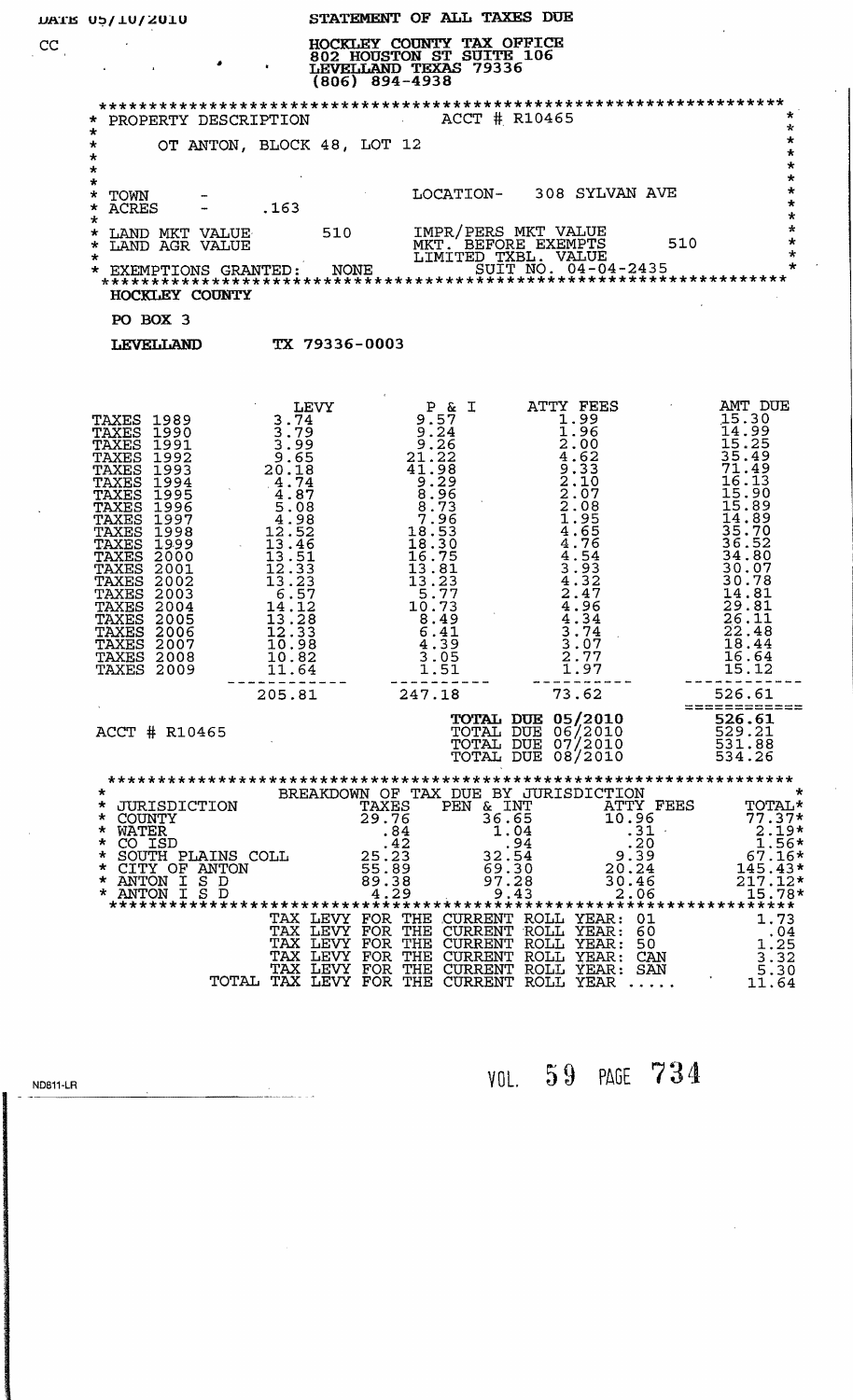|    | DATE 05/10/2010                                                                                                                                                                                                                                                                                                                                                                                       |                                                                                                                                                                                                                                                                                                                              | STATEMENT OF ALL TAXES DUE                                                                                                                                                                                                                                                                                       |                                                                        |                                                                                                                                                                                                                                                           |                                                                                                                                                                                                                                                                                                                                               |
|----|-------------------------------------------------------------------------------------------------------------------------------------------------------------------------------------------------------------------------------------------------------------------------------------------------------------------------------------------------------------------------------------------------------|------------------------------------------------------------------------------------------------------------------------------------------------------------------------------------------------------------------------------------------------------------------------------------------------------------------------------|------------------------------------------------------------------------------------------------------------------------------------------------------------------------------------------------------------------------------------------------------------------------------------------------------------------|------------------------------------------------------------------------|-----------------------------------------------------------------------------------------------------------------------------------------------------------------------------------------------------------------------------------------------------------|-----------------------------------------------------------------------------------------------------------------------------------------------------------------------------------------------------------------------------------------------------------------------------------------------------------------------------------------------|
| cc |                                                                                                                                                                                                                                                                                                                                                                                                       |                                                                                                                                                                                                                                                                                                                              | HOCKLEY COUNTY TAX OFFICE<br>802 HOUSTON ST SUITE 106<br>$(806)$ 894-4938                                                                                                                                                                                                                                        |                                                                        |                                                                                                                                                                                                                                                           |                                                                                                                                                                                                                                                                                                                                               |
|    | * PROPERTY DESCRIPTION ACCT # R10465                                                                                                                                                                                                                                                                                                                                                                  |                                                                                                                                                                                                                                                                                                                              |                                                                                                                                                                                                                                                                                                                  |                                                                        |                                                                                                                                                                                                                                                           | $\star$                                                                                                                                                                                                                                                                                                                                       |
|    | $\star$<br>$\star$<br>*<br>$\star$                                                                                                                                                                                                                                                                                                                                                                    | OT ANTON, BLOCK 48, LOT 12                                                                                                                                                                                                                                                                                                   |                                                                                                                                                                                                                                                                                                                  |                                                                        |                                                                                                                                                                                                                                                           | $\star$<br>$\star$<br>$\star$                                                                                                                                                                                                                                                                                                                 |
|    | $\star$<br>*<br>TOWN<br>*<br><b>ACRES</b>                                                                                                                                                                                                                                                                                                                                                             | .163                                                                                                                                                                                                                                                                                                                         |                                                                                                                                                                                                                                                                                                                  |                                                                        | LOCATION- 308 SYLVAN AVE                                                                                                                                                                                                                                  | *<br>$\star$<br>$\star$<br>$\star$                                                                                                                                                                                                                                                                                                            |
|    | $\star$<br>LAND MKT VALUE 510 IMPR/PERS MKT VALUE<br>*<br>$\star$<br>$\star$                                                                                                                                                                                                                                                                                                                          |                                                                                                                                                                                                                                                                                                                              |                                                                                                                                                                                                                                                                                                                  |                                                                        |                                                                                                                                                                                                                                                           | $\star$<br>$\star$<br>$\star$                                                                                                                                                                                                                                                                                                                 |
|    | $\star$<br>HOCKLEY COUNTY                                                                                                                                                                                                                                                                                                                                                                             |                                                                                                                                                                                                                                                                                                                              |                                                                                                                                                                                                                                                                                                                  |                                                                        |                                                                                                                                                                                                                                                           |                                                                                                                                                                                                                                                                                                                                               |
|    | PO BOX 3                                                                                                                                                                                                                                                                                                                                                                                              |                                                                                                                                                                                                                                                                                                                              |                                                                                                                                                                                                                                                                                                                  |                                                                        |                                                                                                                                                                                                                                                           |                                                                                                                                                                                                                                                                                                                                               |
|    | LEVELLAND TX 79336-0003                                                                                                                                                                                                                                                                                                                                                                               |                                                                                                                                                                                                                                                                                                                              |                                                                                                                                                                                                                                                                                                                  |                                                                        |                                                                                                                                                                                                                                                           |                                                                                                                                                                                                                                                                                                                                               |
|    |                                                                                                                                                                                                                                                                                                                                                                                                       |                                                                                                                                                                                                                                                                                                                              |                                                                                                                                                                                                                                                                                                                  |                                                                        |                                                                                                                                                                                                                                                           |                                                                                                                                                                                                                                                                                                                                               |
|    | <b>TAXES 1989</b><br>TAXES 1990<br>1991<br>TAXES<br>TAXES<br>1992<br>TAXES<br>1993<br>1994<br>TAXES<br>TAXES<br>1995<br>TAXES<br>1996<br>TAXES<br>1997<br>TAXES<br>1998<br>TAXES<br>1999<br>TAXES<br>2000<br>TAXES<br>2001<br><b>TAXES 2002</b><br><b>TAXES 2003</b><br>TAXES 2004<br><b>TAXES 2005</b><br><b>TAXES 2006</b><br><b>TAXES 2007</b><br><b>TAXES 2008</b><br>TAXES 2009<br>ACCT # R10465 | LEVY<br>3.74<br>$3.79$<br>$3.99$<br>$9.65$<br>$20.19$<br>$24.3337$<br>$44.7808$<br>$54.598$<br>$54.546$<br>$12.546$<br>$12.546$<br>$12.546$<br>$12.546$<br>$12.546$<br>$12.546$<br>$12.546$<br>$12.546$<br>$12.546$<br>$12.546$<br>$12.546$<br>14.12<br>13.28<br>12.33<br>10.98<br>10.82<br>11.64<br>-------------<br>205.81 | $P$ & I<br>$9.57$<br>$9.24$<br>$9.26$<br>$21.228$<br>$41.98$<br>$\frac{1}{8}.\frac{29}{96}$<br>$\frac{8.73}{7.96}$<br>$\frac{18.53}{18.30}$<br>$\frac{16.75}{13.81}$<br>$\frac{13.23}{5.77}$<br>10.73<br>8.49<br>6.41<br>4.39<br>$\begin{array}{c} 3 \cdot 05 \\ 1 \cdot 51 \end{array}$<br>----------<br>247.18 |                                                                        | ATTY FEES<br>1.99<br>$1.24360230785564$<br>$2.10085566$<br>$4.6754$<br>$43.59327$<br>$42.49327$<br>4.34<br>3.74<br>3.07<br>$\frac{2}{1}$ . 77<br>1.97<br>73.62<br><b>TOTAL DUE 05/2010</b><br>TOTAL DUE 06/2010<br>TOTAL DUE 07/2010<br>TOTAL DUE 08/2010 | AMT DUE<br>15.30<br>$111.399$<br>$15.25$<br>$15.499$<br>$15.493$<br>$15.16$<br>$15.989$<br>$15.195$<br>$15.195$<br>$15.280$<br>$15.200$<br>$15.390$<br>$15.390$<br>$\frac{30.07}{30.78}$<br>14.81<br>29.81<br>26.11<br>22.48<br>18.44<br>16.64<br>15.12<br>----------------<br>526.61<br>============<br>526.61<br>529.21<br>531.88<br>534.26 |
|    | $\star$<br>* JURISDICTION<br>* COUNTY<br>* WATER * . 84<br>* CO ISD * . 42<br>* SOUTH PLAINS COLL * . 25 . 23<br>* CITY OF ANTON * 55 . 89<br>$\begin{array}{c}\text{*} \text{ ANTON I S D}\\ \text{*} \text{ ANTON I S D}\end{array}$                                                                                                                                                                |                                                                                                                                                                                                                                                                                                                              | TAXES<br>29.76<br>89.38<br>4.29                                                                                                                                                                                                                                                                                  | PEN & INT<br>36.65<br>1.04<br>$-34$<br>32.54<br>69.30<br>97.28<br>9.43 | BREAKDOWN OF TAX DUE BY JURISDICTION<br>ATTY FEES<br>10.96<br>$-31$<br>$-30$<br>$-39$<br>$-39$<br>$-39$<br>$-39$<br>$-39$<br>$-39$<br>$-39$<br>30.46<br>2.06                                                                                              | TOTAL*<br>$77.37*$<br>$2.19*$<br>1.56*<br>$67.16*$<br>$145.43*$<br>$217.12*$<br>15.78*                                                                                                                                                                                                                                                        |
|    |                                                                                                                                                                                                                                                                                                                                                                                                       | TOTAL                                                                                                                                                                                                                                                                                                                        |                                                                                                                                                                                                                                                                                                                  |                                                                        | TAX LEVY FOR THE CURRENT ROLL YEAR: 01<br>TAX LEVY FOR THE CURRENT ROLL YEAR: 60<br>TAX LEVY FOR THE CURRENT ROLL YEAR: 50<br>TAX LEVY FOR THE CURRENT ROLL YEAR: CAN<br>TAX LEVY FOR THE CURRENT ROLL YEAR: SAN<br>TAX LEVY FOR THE CURRENT ROLL YEAR    | 1.73<br>$\ldots$ 04<br>1.25<br>3.32<br>5.30<br>11.64                                                                                                                                                                                                                                                                                          |

**ND811-LR** 

The main of the control of the control of the control of the control of the control of the control of the control of

 $\epsilon$ 

 $\overline{C}$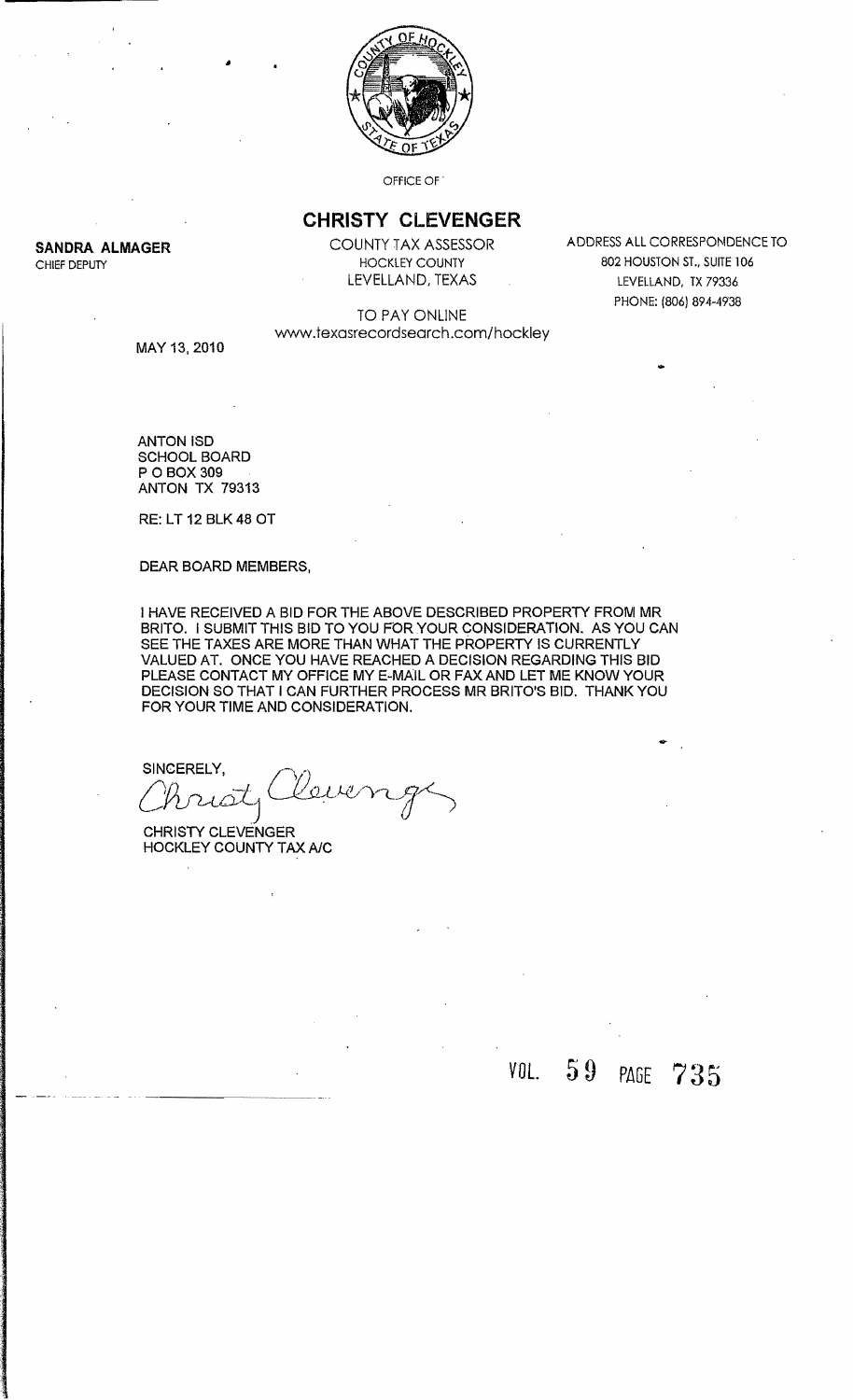

OFfiCE OF

### **CHRISTY CLEVENGER**

**SANDRA ALMAGER** COUNTY TAX ASSESSOR ADDRESS ALL CORRESPONDENCE TO CHIEF DEPUTY **EXECUTE A CONSIDER THE SET OF STATE 104** HOCKLEY COUNTY **EXECUTE 104** 802 HOUSTON ST., SUITE 106 LEVELLAND, TEXAS LEVELLAND, TX 79336 PHONE: (806) 894-4938

...

#### TO PAY ONLINE www.texasrecordsearch.com/hockley

MAY 13, 2010

ANTONISD SCHOOL BOARD POBOX 309 ANTON TX 79313

RE: LT 12 BLK48 OT

DEAR BOARD MEMBERS,

I HAVE RECEIVED A BID FOR THE ABOVE DESCRIBED PROPERTY FROM MR BRITO. I SUBMIT THIS BID TO YOU FOR YOUR CONSIDERATION. AS YOU CAN SEE THE TAXES ARE MORE THAN WHAT THE PROPERTY IS CURRENTLY VALUED AT. ONCE YOU HAVE REACHED A DECISION REGARDING THIS BID PLEASE CONTACT MY OFFICE MY E-MAIL OR FAX AND LET ME KNOW YOUR DECISION SO THAT I CAN FURTHER PROCESS MR BRITO'S BID. THANK YOU FOR YOUR TIME AND CONSIDERATION.

SINCERELY,  $C$ 

CHRISTY CLEVENGER HOCKLEY COUNTY TAX *AlC* 

# *VOL.* 5 9 PAGE 7 3 5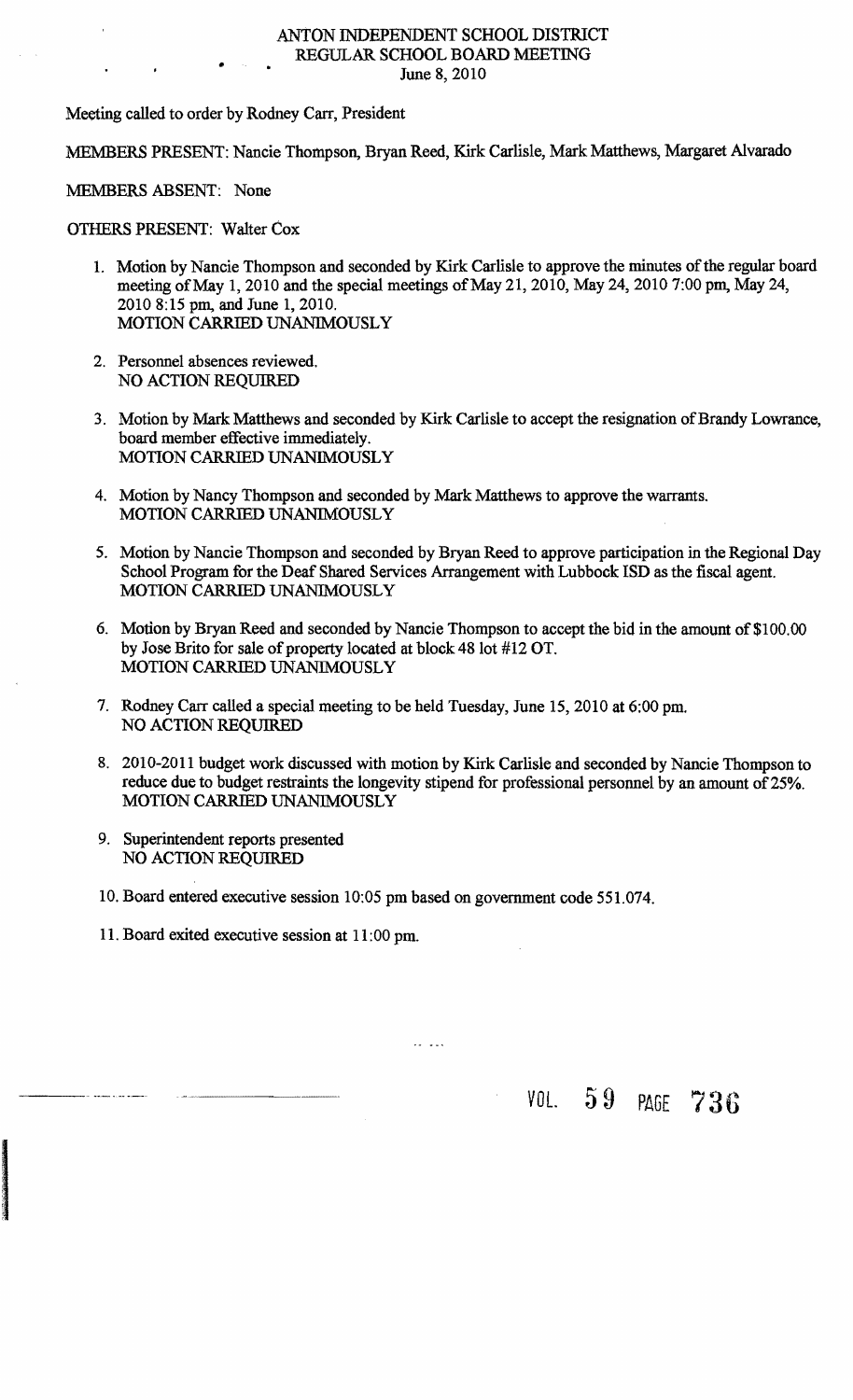# ANTON INDEPENDENT SCHOOL DISTRICT REGULAR SCHOOL BOARD MEETING<br>June 8, 2010

Meeting called to order by Rodney Carr, President

MEMBERS PRESENT: Nancie Thompson, Bryan Reed, Kirk Carlisle, Mark Matthews, Margaret Alvarado

MEMBERS ABSENT: None

OTHERS PRESENT: Walter Cox

- 1. Motion by Nancie Thompson and seconded by Kirk Carlisle to approve the minutes of the regular board meeting of May 1, 2010 and the special meetings of May 21, 2010, May 24, 2010 7:00 pm, May 24, 2010 8:15 pm, and June 1,2010. MOTION CARRIED UNANlMOUSLY
- 2. Personnel absences reviewed. NO ACTION REQUIRED
- 3. Motion by Mark Matthews and seconded by Kirk Carlisle to accept the resignation of Brandy Lowrance, board member effective immediately. MOTION CARRIED UNANIMOUSLY
- 4. Motion by Nancy Thompson and seconded by Mark Matthews to approve the warrants. MOTION CARRIED UNANIMOUSLY
- 5. Motion by Nancie Thompson and seconded by Bryan Reed to approve participation in the Regional Day School Program for the Deaf Shared Services Arrangement with Lubbock ISD as the fiscal agent. MOTION CARRIED UNANIMOUSLY
- 6. Motion by Bryan Reed and seconded by Nancie Thompson to accept the bid in the amount of \$100.00 by Jose Brito for sale of property located at block 48 lot #12 OT. MOTION CARRIED UNANIMOUSLY
- 7. Rodney Carr called a special meeting to be held Tuesday, June 15, 2010 at 6:00 pm. NO ACTION REQUIRED
- 8. 2010-2011 budget work discussed with motion by Kirk Carlisle and seconded by Nancie Thompson to reduce due to budget restraints the longevity stipend for professional personnel by an amount of 25%. MOTION CARRIED UNANIMOUSLY
- 9. Superintendent reports presented NO ACTION REQUIRED

I

10. Board entered executive session 10:05 pm based on government code 551.074.

 $\mathbf{r}$   $\mathbf{r}$ 

11. Board exited executive session at 11 :00 pm.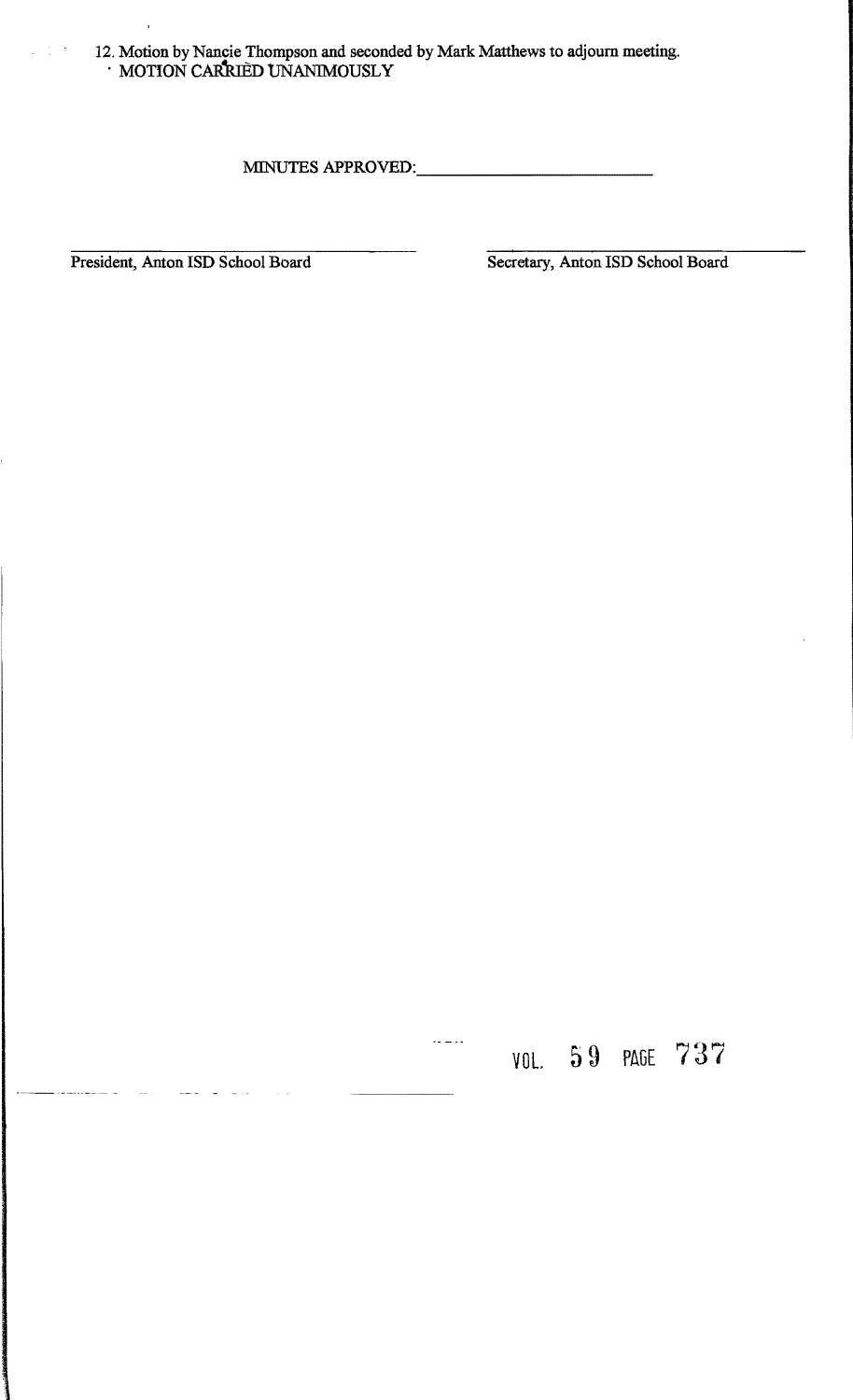12. Motion by Nancie Thompson and seconded by Mark Matthews to adjourn meeting.  $\cdot$  MOTION CARRIED UNANIMOUSLY

MINUTES APPROVED: \_\_\_\_\_\_\_\_\_\_

President, Anton ISD School Board Secretary, Anton ISD School Board

 $\omega \in \mathbb{C}^{d \times d}$ 

VOL 59 PAGE 737

 $\overline{\mathbb{R}}$  is a set of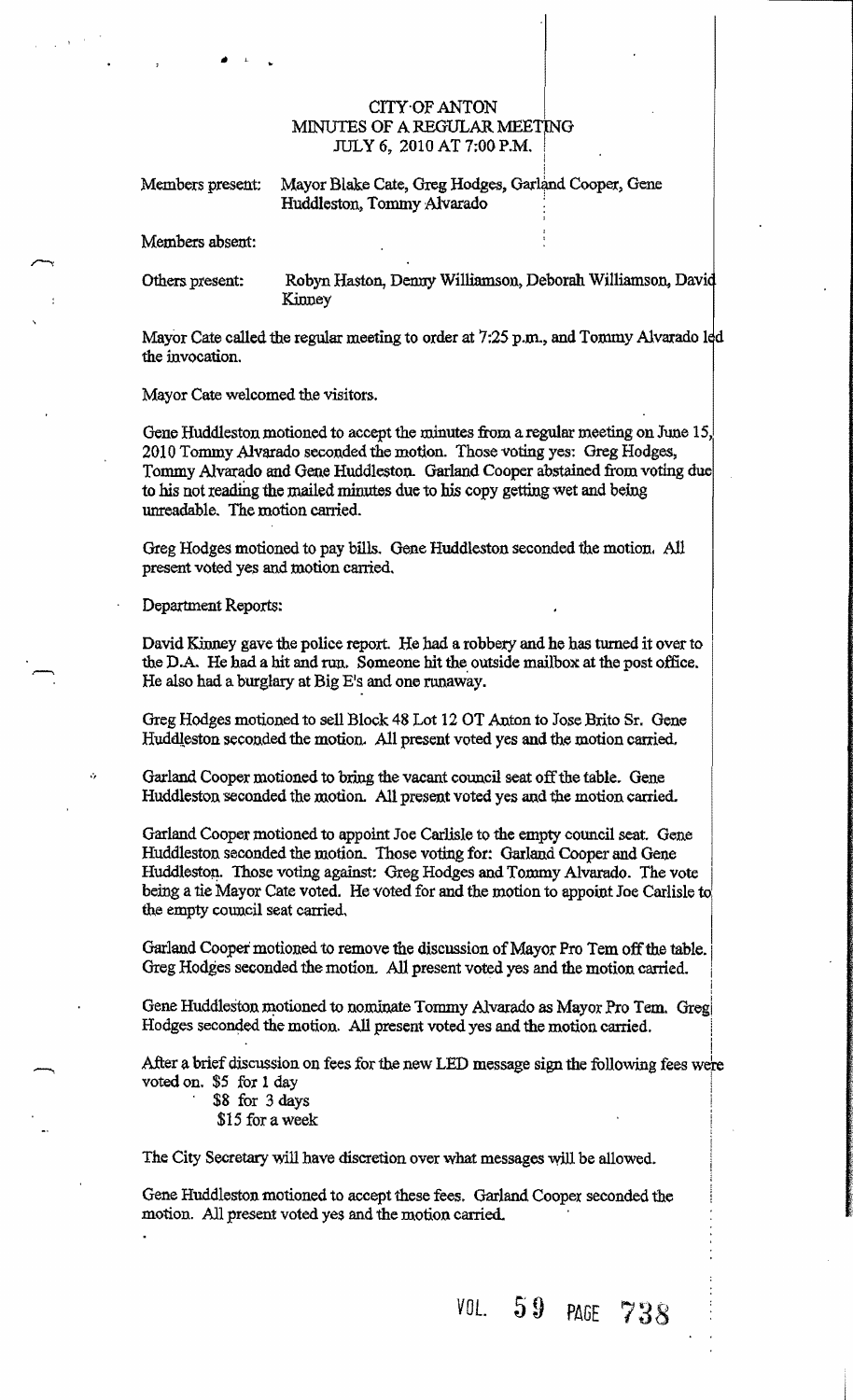#### CITY'OF ANTON MINUTES OF A REGULAR MEETING JULy 6, 2010 AT 7;00 P.M. I I

| Members present: | Mayor Blake Cate, Greg Hodges, Garland Cooper, Gene<br>Huddleston, Tommy Alvarado |  |
|------------------|-----------------------------------------------------------------------------------|--|
|                  |                                                                                   |  |

Members absent:

Others present: Robyn Haston, Denny Williamson, Deborah Williamson, Davi Kinney

 $\vert$ 

i

Mayor Cate called the regular meeting to order at 7:25 p.m., and Tommy Alvarado 1ed the invocation.

Mayor Cate welcomed the visitors.

 $\bullet$   $\bullet$   $\bullet$ 

Gene Huddleston motioned to accept the minutes from a regular meeting on June 15, 2010 Tommy Alvarado seconded the motion. Those voting yes; Greg Hodges, Tommy Alvarado and Gene Huddleston.. Garland Cooper abstained from voting due to his not reading the mailed minutes due to his copy getting wet and being unreadable. The motion carried.

Greg Hodges motioned to pay bills. Gene Huddleston seconded the motion. All present voted yes and motion carried.

Department Reports:

David Kinney gave the police report. He had a robbery and he has turned it over to the D.A. He had a hit and run. Someone hit the outside mailbox at the post office. He also had a burglary at Big E's and one runaway.

Greg Hodges motioned to sell Block 48 Lot 12 OT Anton to Jose Brito Sr. Gene Huddleston seconded the motion. All present voted yes and the motion carried.

Garland Cooper motioned to bring the vacant council seat off the table. Gene Huddleston seconded the motion. All present voted yes and the motion carried.

Garland Cooper motioned to appoint Joe Carlisle to the empty council seat. Gene Huddleston seconded the motion. Those voting for: Garland Cooper and Gene Huddleston. Those voting against: Greg Hodges and Tommy Alvarado. The vote being a tie Mayor Cate voted. He voted for and the motion to appoint Joe Carlisle to, the empty council seat carried.

Garland Cooper motioned to remove the discussion of Mayof Pro Tem off the table., Greg Hodges seconded the motion. All present voted yes and the motion carried. i

Gene Huddleston motioned to nominate Tommy Alvarado as Mayor Pro Tem. Greg Hodges seconded the motion. All present voted yes and the motion carried.

i After a brief discussion on fees for the new LED message sign the following fees were voted on. \$5 for 1 day<br>\$8 for 3 days

\$15 for a week

The City Secretary will have discretion over what messages will be allowed.

Gene Huddleston motioned to accept these fees. Garland Cooper seconded the motion. All present voted yes and the motion carried.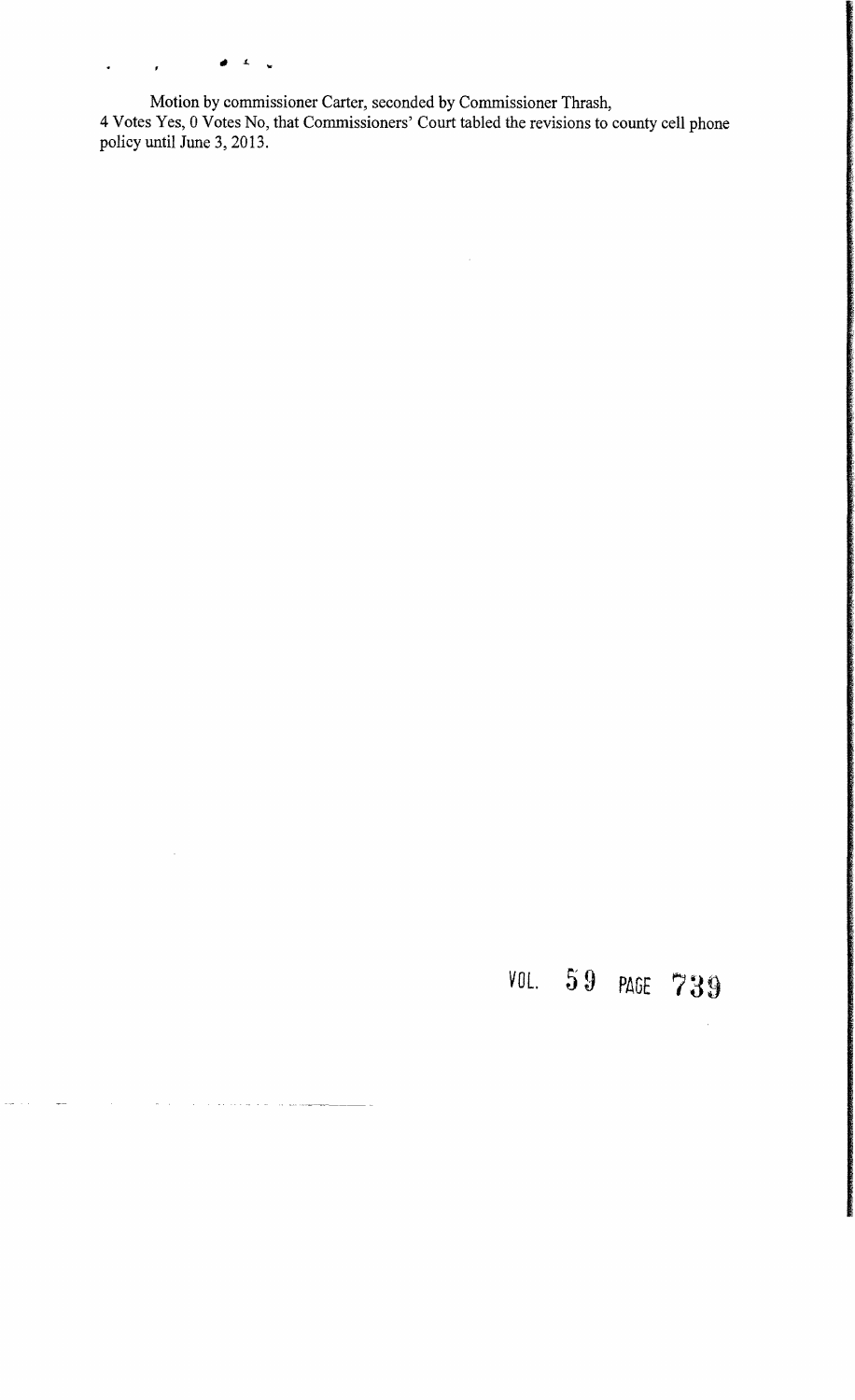*" L* ...  $\bullet$  .  $\bullet$  $\hat{f}$ 

 $\bar{\beta}$ 

 $\omega = \omega$  .

 $\label{eq:1} \frac{1}{\sqrt{2}}\left( \frac{1}{\sqrt{2}}\right) \left( \frac{1}{\sqrt{2}}\right) \left( \frac{1}{\sqrt{2}}\right) \left( \frac{1}{\sqrt{2}}\right) \left( \frac{1}{\sqrt{2}}\right) \left( \frac{1}{\sqrt{2}}\right) \left( \frac{1}{\sqrt{2}}\right) \left( \frac{1}{\sqrt{2}}\right) \left( \frac{1}{\sqrt{2}}\right) \left( \frac{1}{\sqrt{2}}\right) \left( \frac{1}{\sqrt{2}}\right) \left( \frac{1}{\sqrt{2}}\right) \left( \frac{1}{\sqrt{$ 

.<br>Heren

a sa mga kalawang pagkalang ng pangangang

Motion by commissioner Carter, seconded by Commissioner Thrash, 4 Votes Yes, 0 Votes No, that Commissioners' Court tabled the revisions to county cell phone policy until June 3, 2013.

 $\sim$ 

*VOl.* 5 9 PAGE 739